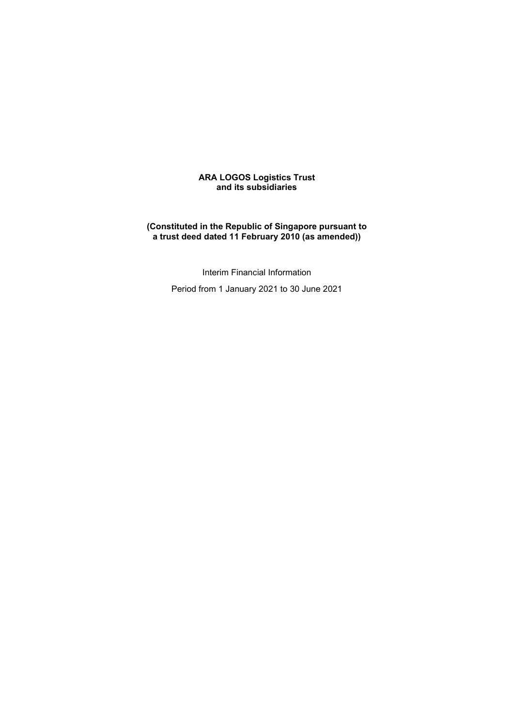### **ARA LOGOS Logistics Trust and its subsidiaries**

### **(Constituted in the Republic of Singapore pursuant to a trust deed dated 11 February 2010 (as amended))**

Interim Financial Information Period from 1 January 2021 to 30 June 2021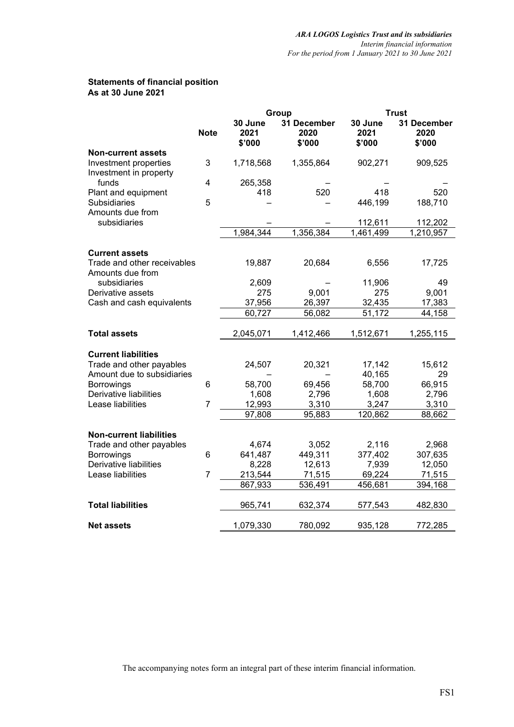## **Statements of financial position As at 30 June 2021**

|                                                 |                | Group                     | <b>Trust</b>                  |                           |                               |
|-------------------------------------------------|----------------|---------------------------|-------------------------------|---------------------------|-------------------------------|
|                                                 | <b>Note</b>    | 30 June<br>2021<br>\$'000 | 31 December<br>2020<br>\$'000 | 30 June<br>2021<br>\$'000 | 31 December<br>2020<br>\$'000 |
| <b>Non-current assets</b>                       |                |                           |                               |                           |                               |
| Investment properties<br>Investment in property | 3              | 1,718,568                 | 1,355,864                     | 902,271                   | 909,525                       |
| funds                                           | 4              | 265,358                   |                               |                           |                               |
| Plant and equipment                             |                | 418                       | 520                           | 418                       | 520                           |
| Subsidiaries                                    | 5              |                           |                               | 446,199                   | 188,710                       |
| Amounts due from<br>subsidiaries                |                |                           |                               | 112,611                   | 112,202                       |
|                                                 |                | 1,984,344                 | 1,356,384                     | 1,461,499                 | 1,210,957                     |
|                                                 |                |                           |                               |                           |                               |
| <b>Current assets</b>                           |                |                           |                               |                           |                               |
| Trade and other receivables                     |                | 19,887                    | 20,684                        | 6,556                     | 17,725                        |
| Amounts due from                                |                |                           |                               |                           |                               |
| subsidiaries                                    |                | 2,609                     |                               | 11,906                    | 49                            |
| Derivative assets                               |                | 275                       | 9,001                         | 275                       | 9,001                         |
| Cash and cash equivalents                       |                | 37,956                    | 26,397                        | 32,435                    | 17,383                        |
|                                                 |                | 60,727                    | 56,082                        | 51,172                    | 44,158                        |
|                                                 |                |                           |                               |                           |                               |
| <b>Total assets</b>                             |                | 2,045,071                 | 1,412,466                     | 1,512,671                 | 1,255,115                     |
|                                                 |                |                           |                               |                           |                               |
| <b>Current liabilities</b>                      |                |                           |                               |                           |                               |
| Trade and other payables                        |                | 24,507                    | 20,321                        | 17,142                    | 15,612                        |
| Amount due to subsidiaries                      |                |                           |                               | 40,165                    | 29                            |
| <b>Borrowings</b>                               | 6              | 58,700                    | 69,456                        | 58,700                    | 66,915                        |
| Derivative liabilities                          |                | 1,608                     | 2,796                         | 1,608                     | 2,796                         |
| Lease liabilities                               | $\overline{7}$ | 12,993                    | 3,310                         | 3,247                     | 3,310                         |
|                                                 |                | 97,808                    | 95,883                        | 120,862                   | 88,662                        |
|                                                 |                |                           |                               |                           |                               |
| <b>Non-current liabilities</b>                  |                |                           |                               |                           |                               |
| Trade and other payables                        |                | 4,674                     | 3,052                         | 2,116                     | 2,968                         |
| Borrowings                                      | 6              | 641,487                   | 449,311                       | 377,402                   | 307,635                       |
| Derivative liabilities                          |                | 8,228                     | 12,613                        | 7,939                     | 12,050                        |
| Lease liabilities                               | $\overline{7}$ | 213,544                   | 71,515                        | 69,224                    | 71,515                        |
|                                                 |                | 867,933                   | 536,491                       | 456,681                   | 394,168                       |
|                                                 |                |                           |                               |                           |                               |
| <b>Total liabilities</b>                        |                | 965,741                   | 632,374                       | 577,543                   | 482,830                       |
|                                                 |                |                           |                               |                           |                               |
| <b>Net assets</b>                               |                | 1,079,330                 | 780,092                       | 935,128                   | 772,285                       |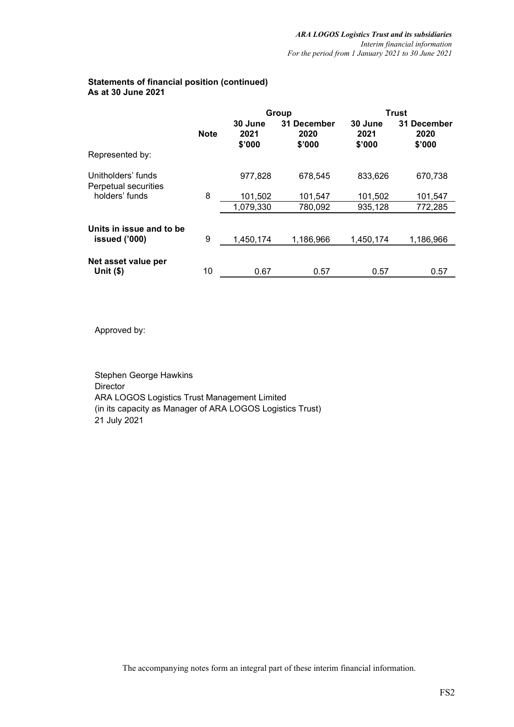# **Statements of financial position (continued) As at 30 June 2021**

|                                            |             |                           | Group                         | <b>Trust</b>              |                               |  |  |
|--------------------------------------------|-------------|---------------------------|-------------------------------|---------------------------|-------------------------------|--|--|
|                                            | <b>Note</b> | 30 June<br>2021<br>\$'000 | 31 December<br>2020<br>\$'000 | 30 June<br>2021<br>\$'000 | 31 December<br>2020<br>\$'000 |  |  |
| Represented by:                            |             |                           |                               |                           |                               |  |  |
| Unitholders' funds<br>Perpetual securities |             | 977,828                   | 678,545                       | 833,626                   | 670,738                       |  |  |
| holders' funds                             | 8           | 101,502                   | 101,547                       | 101,502                   | 101,547                       |  |  |
|                                            |             | 1,079,330                 | 780,092                       | 935,128                   | 772,285                       |  |  |
| Units in issue and to be<br>issued ('000)  | 9           | 1,450,174                 | 1,186,966                     | 1,450,174                 | 1,186,966                     |  |  |
| Net asset value per<br>Unit $($ \$)        | 10          | 0.67                      | 0.57                          | 0.57                      | 0.57                          |  |  |

Approved by:

Stephen George Hawkins Director ARA LOGOS Logistics Trust Management Limited (in its capacity as Manager of ARA LOGOS Logistics Trust) 21 July 2021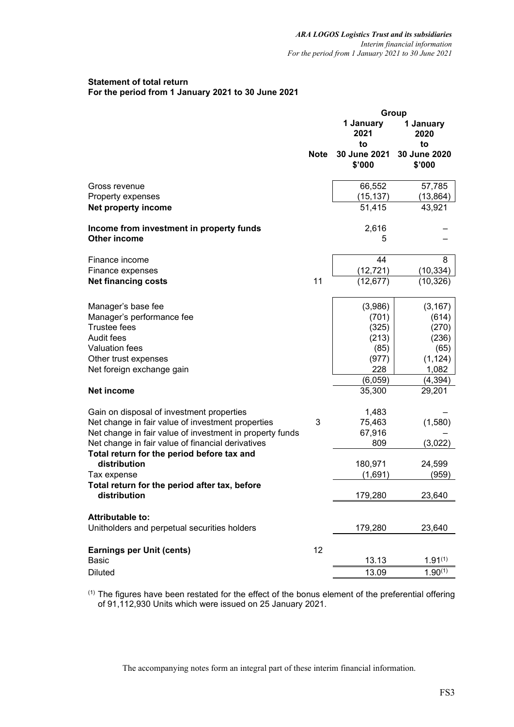# **Statement of total return For the period from 1 January 2021 to 30 June 2021**

|                                                                 |             |                              | Group                        |
|-----------------------------------------------------------------|-------------|------------------------------|------------------------------|
|                                                                 |             | 1 January<br>2021            | 1 January<br>2020            |
|                                                                 | <b>Note</b> | to<br>30 June 2021<br>\$'000 | to<br>30 June 2020<br>\$'000 |
| Gross revenue                                                   |             | 66,552                       | 57,785                       |
| Property expenses                                               |             | (15, 137)                    | (13, 864)                    |
| Net property income                                             |             | 51,415                       | 43,921                       |
| Income from investment in property funds<br><b>Other income</b> |             | 2,616<br>5                   |                              |
| Finance income                                                  |             | 44                           | 8                            |
| Finance expenses                                                |             | (12, 721)                    | (10, 334)                    |
| <b>Net financing costs</b>                                      | 11          | (12, 677)                    | (10, 326)                    |
| Manager's base fee                                              |             | (3,986)                      | (3, 167)                     |
| Manager's performance fee                                       |             | (701)                        | (614)                        |
| <b>Trustee fees</b>                                             |             | (325)                        | (270)                        |
| Audit fees                                                      |             | (213)                        | (236)                        |
| <b>Valuation fees</b>                                           |             | (85)                         | (65)                         |
| Other trust expenses                                            |             | (977)                        | (1, 124)                     |
| Net foreign exchange gain                                       |             | 228                          | 1,082                        |
|                                                                 |             | (6,059)                      | (4, 394)                     |
| Net income                                                      |             | 35,300                       | 29,201                       |
| Gain on disposal of investment properties                       |             | 1,483                        |                              |
| Net change in fair value of investment properties               | 3           | 75,463                       | (1,580)                      |
| Net change in fair value of investment in property funds        |             | 67,916                       |                              |
| Net change in fair value of financial derivatives               |             | 809                          | (3,022)                      |
| Total return for the period before tax and<br>distribution      |             | 180,971                      | 24,599                       |
| Tax expense                                                     |             | (1,691)                      | (959)                        |
| Total return for the period after tax, before<br>distribution   |             | 179,280                      | 23,640                       |
| <b>Attributable to:</b>                                         |             |                              |                              |
| Unitholders and perpetual securities holders                    |             | 179,280                      | 23,640                       |
| <b>Earnings per Unit (cents)</b>                                | 12          |                              |                              |
| <b>Basic</b>                                                    |             | 13.13                        | $1.91^{(1)}$                 |
| <b>Diluted</b>                                                  |             | 13.09                        | $1.90^{(1)}$                 |

(1) The figures have been restated for the effect of the bonus element of the preferential offering of 91,112,930 Units which were issued on 25 January 2021.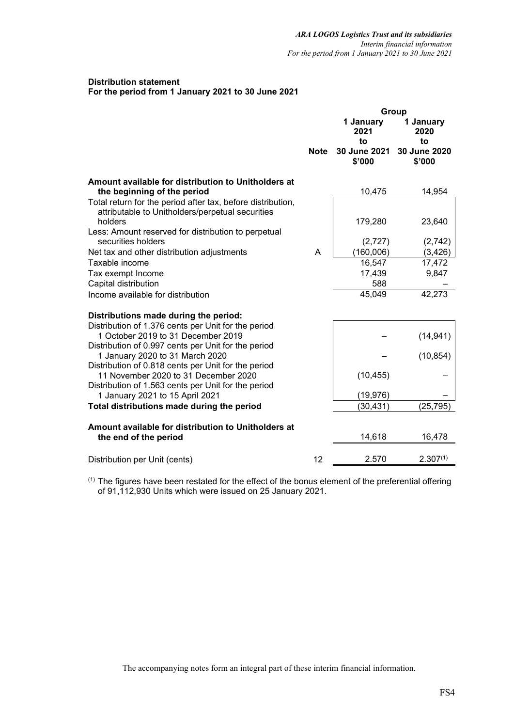### **Distribution statement For the period from 1 January 2021 to 30 June 2021**

|                                                                                                                                                    |             | Group<br>1 January<br>1 January |                                     |  |  |  |
|----------------------------------------------------------------------------------------------------------------------------------------------------|-------------|---------------------------------|-------------------------------------|--|--|--|
|                                                                                                                                                    |             | 2021<br>to                      | 2020<br>to                          |  |  |  |
|                                                                                                                                                    | <b>Note</b> | \$'000                          | 30 June 2021 30 June 2020<br>\$'000 |  |  |  |
| Amount available for distribution to Unitholders at<br>the beginning of the period                                                                 |             | 10,475                          | 14,954                              |  |  |  |
| Total return for the period after tax, before distribution,<br>attributable to Unitholders/perpetual securities                                    |             |                                 |                                     |  |  |  |
| holders<br>Less: Amount reserved for distribution to perpetual                                                                                     |             | 179,280                         | 23,640                              |  |  |  |
| securities holders                                                                                                                                 |             | (2,727)                         | (2,742)                             |  |  |  |
| Net tax and other distribution adjustments                                                                                                         | A           | (160, 006)                      | (3, 426)                            |  |  |  |
| Taxable income                                                                                                                                     |             | 16,547                          | 17,472                              |  |  |  |
| Tax exempt Income                                                                                                                                  |             | 17,439                          | 9,847                               |  |  |  |
| Capital distribution                                                                                                                               |             | 588                             |                                     |  |  |  |
| Income available for distribution                                                                                                                  |             | 45,049                          | 42,273                              |  |  |  |
| Distributions made during the period:                                                                                                              |             |                                 |                                     |  |  |  |
| Distribution of 1.376 cents per Unit for the period<br>1 October 2019 to 31 December 2019<br>Distribution of 0.997 cents per Unit for the period   |             |                                 | (14, 941)                           |  |  |  |
| 1 January 2020 to 31 March 2020                                                                                                                    |             |                                 | (10, 854)                           |  |  |  |
| Distribution of 0.818 cents per Unit for the period<br>11 November 2020 to 31 December 2020<br>Distribution of 1.563 cents per Unit for the period |             | (10, 455)                       |                                     |  |  |  |
| 1 January 2021 to 15 April 2021                                                                                                                    |             | (19, 976)                       |                                     |  |  |  |
| Total distributions made during the period                                                                                                         |             | (30,431)                        | (25,795)                            |  |  |  |
| Amount available for distribution to Unitholders at<br>the end of the period                                                                       |             | 14,618                          | 16,478                              |  |  |  |
|                                                                                                                                                    |             |                                 |                                     |  |  |  |
| Distribution per Unit (cents)                                                                                                                      | 12          | 2.570                           | $2.307^{(1)}$                       |  |  |  |

(1) The figures have been restated for the effect of the bonus element of the preferential offering of 91,112,930 Units which were issued on 25 January 2021.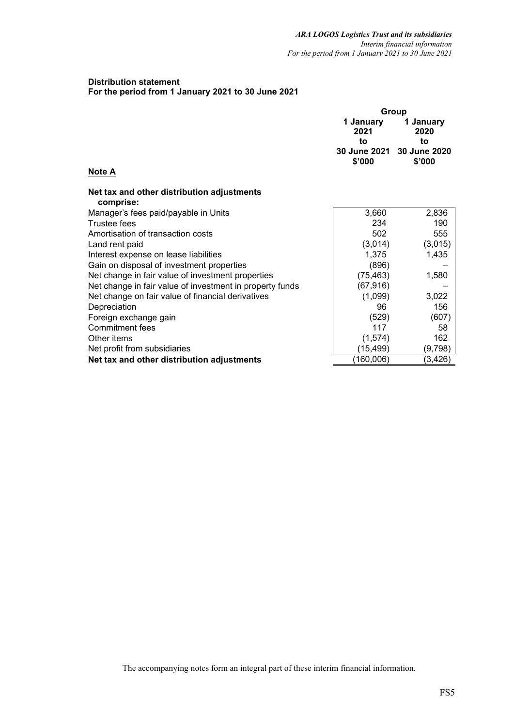## **Distribution statement For the period from 1 January 2021 to 30 June 2021**

|                                                          | Group<br>1 January |                                 |  |  |  |  |
|----------------------------------------------------------|--------------------|---------------------------------|--|--|--|--|
|                                                          | 2021               | 1 January<br>2020               |  |  |  |  |
|                                                          | to                 | to<br>30 June 2021 30 June 2020 |  |  |  |  |
| <b>Note A</b>                                            | \$'000             | \$'000                          |  |  |  |  |
| Net tax and other distribution adjustments<br>comprise:  |                    |                                 |  |  |  |  |
| Manager's fees paid/payable in Units                     | 3,660              | 2,836                           |  |  |  |  |
| <b>Trustee fees</b>                                      | 234                | 190                             |  |  |  |  |
| Amortisation of transaction costs                        | 502                | 555                             |  |  |  |  |
| Land rent paid                                           | (3,014)            | (3,015)                         |  |  |  |  |
| Interest expense on lease liabilities                    | 1,375              | 1,435                           |  |  |  |  |
| Gain on disposal of investment properties                | (896)              |                                 |  |  |  |  |
| Net change in fair value of investment properties        | (75, 463)          | 1,580                           |  |  |  |  |
| Net change in fair value of investment in property funds | (67, 916)          |                                 |  |  |  |  |
| Net change on fair value of financial derivatives        | (1,099)            | 3,022                           |  |  |  |  |
| Depreciation                                             | 96                 | 156                             |  |  |  |  |
| Foreign exchange gain                                    | (529)              | (607)                           |  |  |  |  |
| Commitment fees                                          | 117                | 58                              |  |  |  |  |
| Other items                                              | (1,574)            | 162                             |  |  |  |  |
| Net profit from subsidiaries                             | (15,499)           | (9,798)                         |  |  |  |  |
| Net tax and other distribution adjustments               | (160,006)          | (3,426)                         |  |  |  |  |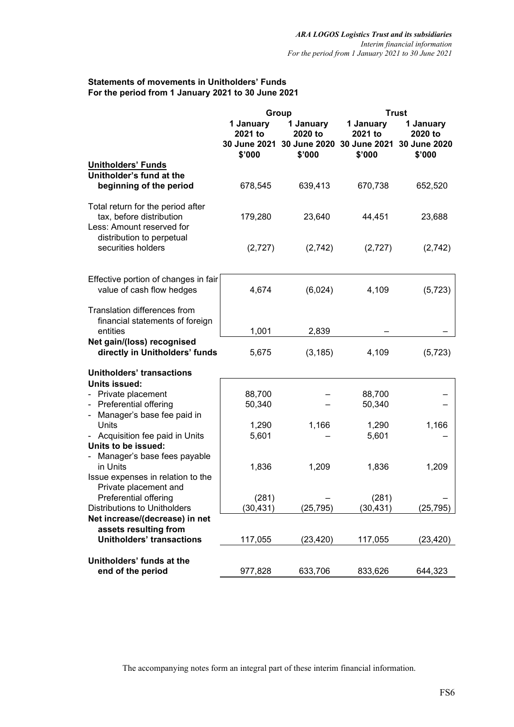# **Statements of movements in Unitholders' Funds For the period from 1 January 2021 to 30 June 2021**

|                                                                                            |                                                                                                                      | Group     |                                | <b>Trust</b>                                   |
|--------------------------------------------------------------------------------------------|----------------------------------------------------------------------------------------------------------------------|-----------|--------------------------------|------------------------------------------------|
|                                                                                            | 1 January<br>1 January<br>2020 to<br>2021 to<br><b>30 June 2021</b><br>30 June 2020 30 June 2021<br>\$'000<br>\$'000 |           | 1 January<br>2021 to<br>\$'000 | 1 January<br>2020 to<br>30 June 2020<br>\$'000 |
| <b>Unitholders' Funds</b>                                                                  |                                                                                                                      |           |                                |                                                |
| Unitholder's fund at the                                                                   |                                                                                                                      |           |                                |                                                |
| beginning of the period                                                                    | 678,545                                                                                                              | 639,413   | 670,738                        | 652,520                                        |
| Total return for the period after<br>tax, before distribution<br>Less: Amount reserved for | 179,280                                                                                                              | 23,640    | 44,451                         | 23,688                                         |
| distribution to perpetual<br>securities holders                                            | (2,727)                                                                                                              | (2,742)   | (2,727)                        | (2,742)                                        |
|                                                                                            |                                                                                                                      |           |                                |                                                |
| Effective portion of changes in fair<br>value of cash flow hedges                          | 4,674                                                                                                                | (6,024)   | 4,109                          | (5, 723)                                       |
| Translation differences from                                                               |                                                                                                                      |           |                                |                                                |
| financial statements of foreign<br>entities                                                | 1,001                                                                                                                | 2,839     |                                |                                                |
| Net gain/(loss) recognised                                                                 |                                                                                                                      |           |                                |                                                |
| directly in Unitholders' funds                                                             | 5,675                                                                                                                | (3, 185)  | 4,109                          | (5, 723)                                       |
| <b>Unitholders' transactions</b>                                                           |                                                                                                                      |           |                                |                                                |
| Units issued:                                                                              |                                                                                                                      |           |                                |                                                |
| - Private placement                                                                        | 88,700                                                                                                               |           | 88,700                         |                                                |
| Preferential offering<br>$\overline{\phantom{0}}$                                          | 50,340                                                                                                               |           | 50,340                         |                                                |
| Manager's base fee paid in<br>$\overline{\phantom{0}}$                                     |                                                                                                                      |           |                                |                                                |
| Units                                                                                      | 1,290                                                                                                                | 1,166     | 1,290                          | 1,166                                          |
| Acquisition fee paid in Units<br>-                                                         | 5,601                                                                                                                |           | 5,601                          |                                                |
| Units to be issued:                                                                        |                                                                                                                      |           |                                |                                                |
| Manager's base fees payable<br>$\frac{1}{2}$                                               |                                                                                                                      |           |                                |                                                |
| in Units                                                                                   | 1,836                                                                                                                | 1,209     | 1,836                          | 1,209                                          |
| Issue expenses in relation to the                                                          |                                                                                                                      |           |                                |                                                |
| Private placement and                                                                      |                                                                                                                      |           |                                |                                                |
| Preferential offering                                                                      | (281)                                                                                                                |           | (281)                          |                                                |
| <b>Distributions to Unitholders</b>                                                        | (30,431)                                                                                                             | (25, 795) | (30,431)                       | (25, 795)                                      |
| Net increase/(decrease) in net                                                             |                                                                                                                      |           |                                |                                                |
| assets resulting from<br><b>Unitholders' transactions</b>                                  | 117,055                                                                                                              | (23,420)  | 117,055                        | (23, 420)                                      |
|                                                                                            |                                                                                                                      |           |                                |                                                |
| Unitholders' funds at the<br>end of the period                                             | 977,828                                                                                                              | 633,706   | 833,626                        | 644,323                                        |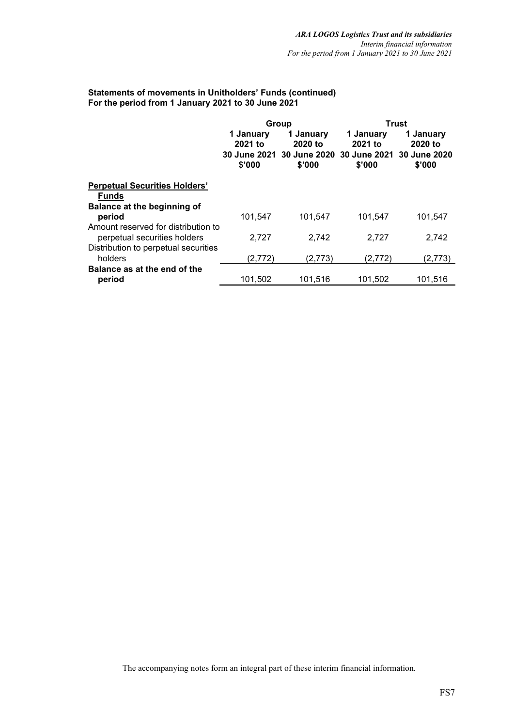# **Statements of movements in Unitholders' Funds (continued) For the period from 1 January 2021 to 30 June 2021**

|                                                      |                                | Group                                                                                 |                                | <b>Trust</b>                   |
|------------------------------------------------------|--------------------------------|---------------------------------------------------------------------------------------|--------------------------------|--------------------------------|
|                                                      | 1 January<br>2021 to<br>\$'000 | 1 January<br>2020 to<br>30 June 2021 30 June 2020 30 June 2021 30 June 2020<br>\$'000 | 1 January<br>2021 to<br>\$'000 | 1 January<br>2020 to<br>\$'000 |
| <b>Perpetual Securities Holders'</b><br><b>Funds</b> |                                |                                                                                       |                                |                                |
| Balance at the beginning of                          |                                |                                                                                       |                                |                                |
| period<br>Amount reserved for distribution to        | 101,547                        | 101,547                                                                               | 101,547                        | 101,547                        |
| perpetual securities holders                         | 2.727                          | 2.742                                                                                 | 2.727                          | 2.742                          |
| Distribution to perpetual securities                 |                                |                                                                                       |                                |                                |
|                                                      |                                |                                                                                       |                                |                                |
|                                                      |                                |                                                                                       |                                |                                |
| holders<br>Balance as at the end of the<br>period    | (2,772)<br>101,502             | (2,773)<br>101,516                                                                    | (2,772)<br>101,502             | (2,773)<br>101,516             |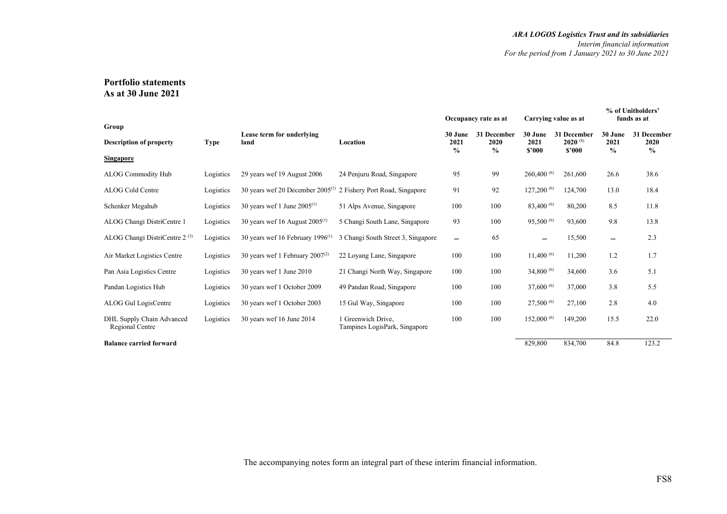## **Portfolio statements As at 30 June 2021**

| Group                                        |             |                                              |                                                     | Occupancy rate as at             |                                      | Carrying value as at      |                                       | % of Unitholders'<br>funds as at |                                      |
|----------------------------------------------|-------------|----------------------------------------------|-----------------------------------------------------|----------------------------------|--------------------------------------|---------------------------|---------------------------------------|----------------------------------|--------------------------------------|
| <b>Description of property</b>               | <b>Type</b> | Lease term for underlying<br>land            | Location                                            | 30 June<br>2021<br>$\frac{0}{0}$ | 31 December<br>2020<br>$\frac{6}{9}$ | 30 June<br>2021<br>\$'000 | 31 December<br>$2020^{(8)}$<br>\$2000 | 30 June<br>2021<br>$\%$          | 31 December<br>2020<br>$\frac{0}{0}$ |
| <b>Singapore</b>                             |             |                                              |                                                     |                                  |                                      |                           |                                       |                                  |                                      |
| <b>ALOG Commodity Hub</b>                    | Logistics   | 29 years wef 19 August 2006                  | 24 Penjuru Road, Singapore                          | 95                               | 99                                   | 260,400 (6)               | 261,600                               | 26.6                             | 38.6                                 |
| <b>ALOG Cold Centre</b>                      | Logistics   | 30 years wef 20 December $2005^{(1)}$        | 2 Fishery Port Road, Singapore                      | 91                               | 92                                   | 127,200 (6)               | 124,700                               | 13.0                             | 18.4                                 |
| Schenker Megahub                             | Logistics   | 30 years wef 1 June $2005^{(1)}$             | 51 Alps Avenue, Singapore                           | 100                              | 100                                  | 83,400 (6)                | 80,200                                | 8.5                              | 11.8                                 |
| ALOG Changi DistriCentre 1                   | Logistics   | 30 years wef 16 August $2005^{(1)}$          | 5 Changi South Lane, Singapore                      | 93                               | 100                                  | 95,500 (6)                | 93,600                                | 9.8                              | 13.8                                 |
| ALOG Changi DistriCentre $2^{(3)}$           | Logistics   | 30 years wef 16 February 1996 <sup>(1)</sup> | 3 Changi South Street 3, Singapore                  | $\overline{\phantom{0}}$         | 65                                   | —                         | 15,500                                | $\qquad \qquad$                  | 2.3                                  |
| Air Market Logistics Centre                  | Logistics   | 30 years wef 1 February $2007^{(2)}$         | 22 Loyang Lane, Singapore                           | 100                              | 100                                  | $11,400^{(6)}$            | 11,200                                | 1.2                              | 1.7                                  |
| Pan Asia Logistics Centre                    | Logistics   | 30 years wef 1 June 2010                     | 21 Changi North Way, Singapore                      | 100                              | 100                                  | 34,800 (6)                | 34,600                                | 3.6                              | 5.1                                  |
| Pandan Logistics Hub                         | Logistics   | 30 years wef 1 October 2009                  | 49 Pandan Road, Singapore                           | 100                              | 100                                  | 37,600 (6)                | 37,000                                | 3.8                              | 5.5                                  |
| ALOG Gul LogisCentre                         | Logistics   | 30 years wef 1 October 2003                  | 15 Gul Way, Singapore                               | 100                              | 100                                  | 27,500 (6)                | 27,100                                | 2.8                              | 4.0                                  |
| DHL Supply Chain Advanced<br>Regional Centre | Logistics   | 30 years wef 16 June 2014                    | 1 Greenwich Drive.<br>Tampines LogisPark, Singapore | 100                              | 100                                  | 152,000 (6)               | 149,200                               | 15.5                             | 22.0                                 |
| <b>Balance carried forward</b>               |             |                                              |                                                     |                                  |                                      | 829,800                   | 834,700                               | 84.8                             | 123.2                                |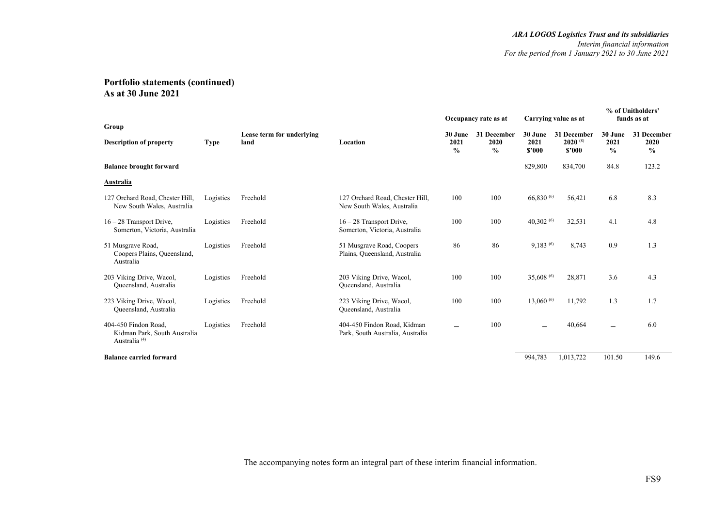|                                                                                  |           |                                   |                                                                 |                                  | Occupancy rate as at                 |                           | Carrying value as at                  |                                  | % of Unitholders'<br>funds as at     |
|----------------------------------------------------------------------------------|-----------|-----------------------------------|-----------------------------------------------------------------|----------------------------------|--------------------------------------|---------------------------|---------------------------------------|----------------------------------|--------------------------------------|
| Group<br><b>Description of property</b>                                          | Type      | Lease term for underlying<br>land | Location                                                        | 30 June<br>2021<br>$\frac{0}{0}$ | 31 December<br>2020<br>$\frac{0}{0}$ | 30 June<br>2021<br>\$'000 | 31 December<br>$2020^{(8)}$<br>\$2000 | 30 June<br>2021<br>$\frac{6}{6}$ | 31 December<br>2020<br>$\frac{6}{6}$ |
| <b>Balance brought forward</b>                                                   |           |                                   |                                                                 |                                  |                                      | 829,800                   | 834,700                               | 84.8                             | 123.2                                |
| Australia                                                                        |           |                                   |                                                                 |                                  |                                      |                           |                                       |                                  |                                      |
| 127 Orchard Road, Chester Hill,<br>New South Wales, Australia                    | Logistics | Freehold                          | 127 Orchard Road, Chester Hill,<br>New South Wales, Australia   | 100                              | 100                                  | 66,830 (6)                | 56,421                                | 6.8                              | 8.3                                  |
| $16 - 28$ Transport Drive,<br>Somerton, Victoria, Australia                      | Logistics | Freehold                          | $16 - 28$ Transport Drive,<br>Somerton, Victoria, Australia     | 100                              | 100                                  | 40,302 $(6)$              | 32,531                                | 4.1                              | 4.8                                  |
| 51 Musgrave Road,<br>Coopers Plains, Queensland,<br>Australia                    | Logistics | Freehold                          | 51 Musgrave Road, Coopers<br>Plains, Queensland, Australia      | 86                               | 86                                   | $9,183^{(6)}$             | 8,743                                 | 0.9                              | 1.3                                  |
| 203 Viking Drive, Wacol,<br>Queensland, Australia                                | Logistics | Freehold                          | 203 Viking Drive, Wacol,<br>Queensland, Australia               | 100                              | 100                                  | 35,608 (6)                | 28,871                                | 3.6                              | 4.3                                  |
| 223 Viking Drive, Wacol,<br>Queensland, Australia                                | Logistics | Freehold                          | 223 Viking Drive, Wacol,<br>Queensland, Australia               | 100                              | 100                                  | $13,060\,^{(6)}$          | 11,792                                | 1.3                              | 1.7                                  |
| 404-450 Findon Road.<br>Kidman Park, South Australia<br>Australia <sup>(4)</sup> | Logistics | Freehold                          | 404-450 Findon Road, Kidman<br>Park, South Australia, Australia | -                                | 100                                  |                           | 40,664                                | —                                | 6.0                                  |
| <b>Balance carried forward</b>                                                   |           |                                   |                                                                 |                                  |                                      | 994,783                   | 1,013,722                             | 101.50                           | 149.6                                |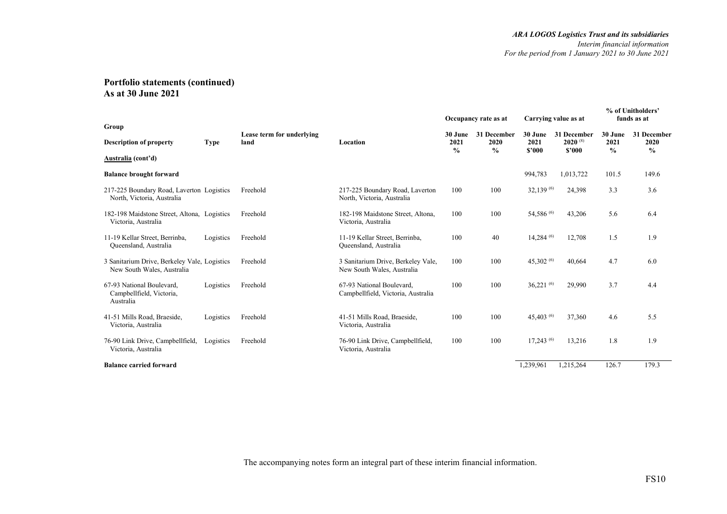|                                                                            |             |                                   |                                                                  |                 | Occupancy rate as at |                 | Carrying value as at        |                 | % of Unitholders'<br>funds as at |
|----------------------------------------------------------------------------|-------------|-----------------------------------|------------------------------------------------------------------|-----------------|----------------------|-----------------|-----------------------------|-----------------|----------------------------------|
| Group<br><b>Description of property</b>                                    | <b>Type</b> | Lease term for underlying<br>land | Location                                                         | 30 June<br>2021 | 31 December<br>2020  | 30 June<br>2021 | 31 December<br>$2020^{(8)}$ | 30 June<br>2021 | 31 December<br>2020              |
| Australia (cont'd)                                                         |             |                                   |                                                                  | $\frac{0}{0}$   | $\%$                 | \$2000          | \$2000                      | $\frac{0}{0}$   | $\frac{0}{0}$                    |
| <b>Balance brought forward</b>                                             |             |                                   |                                                                  |                 |                      | 994,783         | 1,013,722                   | 101.5           | 149.6                            |
| 217-225 Boundary Road, Laverton Logistics<br>North, Victoria, Australia    |             | Freehold                          | 217-225 Boundary Road, Laverton<br>North, Victoria, Australia    | 100             | 100                  | 32,139 (6)      | 24,398                      | 3.3             | 3.6                              |
| 182-198 Maidstone Street, Altona, Logistics<br>Victoria, Australia         |             | Freehold                          | 182-198 Maidstone Street, Altona,<br>Victoria, Australia         | 100             | 100                  | 54,586 (6)      | 43,206                      | 5.6             | 6.4                              |
| 11-19 Kellar Street, Berrinba,<br>Queensland, Australia                    | Logistics   | Freehold                          | 11-19 Kellar Street, Berrinba,<br>Queensland, Australia          | 100             | 40                   | $14,284^{(6)}$  | 12,708                      | 1.5             | 1.9                              |
| 3 Sanitarium Drive, Berkeley Vale, Logistics<br>New South Wales, Australia |             | Freehold                          | 3 Sanitarium Drive, Berkeley Vale,<br>New South Wales, Australia | 100             | 100                  | 45,302 $(6)$    | 40,664                      | 4.7             | 6.0                              |
| 67-93 National Boulevard.<br>Campbellfield, Victoria,<br>Australia         | Logistics   | Freehold                          | 67-93 National Boulevard.<br>Campbellfield, Victoria, Australia  | 100             | 100                  | $36,221^{(6)}$  | 29,990                      | 3.7             | 4.4                              |
| 41-51 Mills Road, Braeside,<br>Victoria, Australia                         | Logistics   | Freehold                          | 41-51 Mills Road, Braeside,<br>Victoria, Australia               | 100             | 100                  | 45,403 $(6)$    | 37,360                      | 4.6             | 5.5                              |
| 76-90 Link Drive, Campbellfield,<br>Victoria, Australia                    | Logistics   | Freehold                          | 76-90 Link Drive, Campbellfield,<br>Victoria, Australia          | 100             | 100                  | $17,243^{(6)}$  | 13,216                      | 1.8             | 1.9                              |
| <b>Balance carried forward</b>                                             |             |                                   |                                                                  |                 |                      | 1,239,961       | 1,215,264                   | 126.7           | 179.3                            |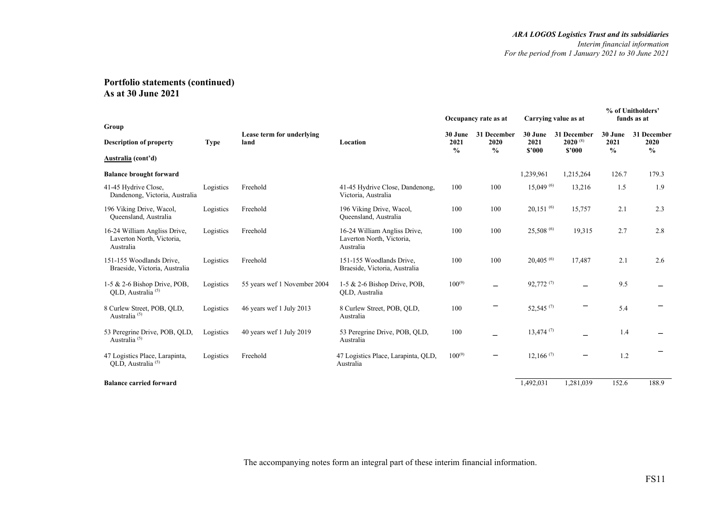|                                                                        |             |                                   |                                                                        |                                  | Occupancy rate as at        |                           | Carrying value as at                  |                                  | % of Unitholders'<br>funds as at     |
|------------------------------------------------------------------------|-------------|-----------------------------------|------------------------------------------------------------------------|----------------------------------|-----------------------------|---------------------------|---------------------------------------|----------------------------------|--------------------------------------|
| Group<br><b>Description of property</b><br>Australia (cont'd)          | <b>Type</b> | Lease term for underlying<br>land | Location                                                               | 30 June<br>2021<br>$\frac{0}{0}$ | 31 December<br>2020<br>$\%$ | 30 June<br>2021<br>\$2000 | 31 December<br>$2020^{(8)}$<br>\$2000 | 30 June<br>2021<br>$\frac{0}{0}$ | 31 December<br>2020<br>$\frac{0}{0}$ |
| <b>Balance brought forward</b>                                         |             |                                   |                                                                        |                                  |                             | 1,239,961                 | 1,215,264                             | 126.7                            | 179.3                                |
| 41-45 Hydrive Close,<br>Dandenong, Victoria, Australia                 | Logistics   | Freehold                          | 41-45 Hydrive Close, Dandenong,<br>Victoria, Australia                 | 100                              | 100                         | $15,049^{(6)}$            | 13,216                                | 1.5                              | 1.9                                  |
| 196 Viking Drive, Wacol,<br>Queensland, Australia                      | Logistics   | Freehold                          | 196 Viking Drive, Wacol,<br>Queensland, Australia                      | 100                              | 100                         | $20,151^{(6)}$            | 15,757                                | 2.1                              | 2.3                                  |
| 16-24 William Angliss Drive,<br>Laverton North, Victoria,<br>Australia | Logistics   | Freehold                          | 16-24 William Angliss Drive,<br>Laverton North, Victoria,<br>Australia | 100                              | 100                         | $25,508^{(6)}$            | 19,315                                | 2.7                              | 2.8                                  |
| 151-155 Woodlands Drive,<br>Braeside, Victoria, Australia              | Logistics   | Freehold                          | 151-155 Woodlands Drive,<br>Braeside, Victoria, Australia              | 100                              | 100                         | $20,405^{(6)}$            | 17,487                                | 2.1                              | 2.6                                  |
| 1-5 & 2-6 Bishop Drive, POB,<br>QLD, Australia <sup>(5)</sup>          | Logistics   | 55 years wef 1 November 2004      | 1-5 & 2-6 Bishop Drive, POB,<br>QLD, Australia                         | $100^{(9)}$                      | $\overline{\phantom{0}}$    | $92,772^{(7)}$            | -                                     | 9.5                              |                                      |
| 8 Curlew Street, POB, OLD,<br>Australia <sup>(5)</sup>                 | Logistics   | 46 years wef 1 July 2013          | 8 Curlew Street, POB, OLD,<br>Australia                                | 100                              |                             | 52,545 $(7)$              |                                       | 5.4                              |                                      |
| 53 Peregrine Drive, POB, QLD,<br>Australia <sup>(5)</sup>              | Logistics   | 40 years wef 1 July 2019          | 53 Peregrine Drive, POB, QLD,<br>Australia                             | 100                              |                             | $13,474$ <sup>(7)</sup>   |                                       | 1.4                              |                                      |
| 47 Logistics Place, Larapinta,<br>QLD, Australia <sup>(5)</sup>        | Logistics   | Freehold                          | 47 Logistics Place, Larapinta, QLD,<br>Australia                       | $100^{(9)}$                      |                             | $12,166$ <sup>(7)</sup>   | -                                     | 1.2                              |                                      |
| <b>Balance carried forward</b>                                         |             |                                   |                                                                        |                                  |                             | 1,492,031                 | 1,281,039                             | 152.6                            | 188.9                                |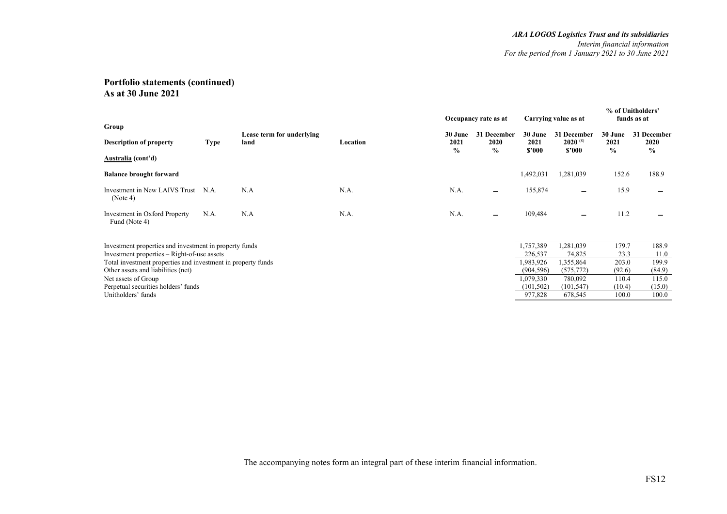|                                                              |             |                           |          |                       | Occupancy rate as at |                | Carrying value as at   |              | % of Unitholders'<br>funds as at |
|--------------------------------------------------------------|-------------|---------------------------|----------|-----------------------|----------------------|----------------|------------------------|--------------|----------------------------------|
| Group                                                        |             | Lease term for underlying |          | 30 June               | 31 December          | 30 June        | 31 December            | 30 June      | 31 December                      |
| <b>Description of property</b>                               | <b>Type</b> | land                      | Location | 2021<br>$\frac{6}{9}$ | 2020<br>$\%$         | 2021<br>\$2000 | $2020^{(8)}$<br>\$'000 | 2021<br>$\%$ | 2020<br>$\%$                     |
| Australia (cont'd)                                           |             |                           |          |                       |                      |                |                        |              |                                  |
| <b>Balance brought forward</b>                               |             |                           |          |                       |                      | 1,492,031      | 1,281,039              | 152.6        | 188.9                            |
| Investment in New LAIVS Trust<br>(Note 4)                    | N.A.        | N.A                       | N.A.     | N.A.                  |                      | 155,874        |                        | 15.9         |                                  |
| Investment in Oxford Property<br>Fund (Note 4)               | N.A.        | N.A                       | N.A.     | N.A.                  |                      | 109,484        |                        | 11.2         |                                  |
| Investment properties and investment in property funds       |             |                           |          |                       |                      | 1,757,389      | 1,281,039              | 179.7        | 188.9                            |
| Investment properties – Right-of-use assets                  |             |                           |          |                       |                      | 226,537        | 74,825                 | 23.3         | 11.0                             |
| Total investment properties and investment in property funds |             |                           |          |                       |                      | 1,983,926      | 1,355,864              | 203.0        | 199.9                            |
| Other assets and liabilities (net)                           |             |                           |          |                       |                      | (904, 596)     | (575, 772)             | (92.6)       | (84.9)                           |
| Net assets of Group                                          |             |                           |          |                       |                      | 1,079,330      | 780,092                | 110.4        | 115.0                            |
| Perpetual securities holders' funds                          |             |                           |          |                       |                      | (101, 502)     | (101, 547)             | (10.4)       | (15.0)                           |
| Unitholders' funds                                           |             |                           |          |                       |                      | 977,828        | 678,545                | 100.0        | 100.0                            |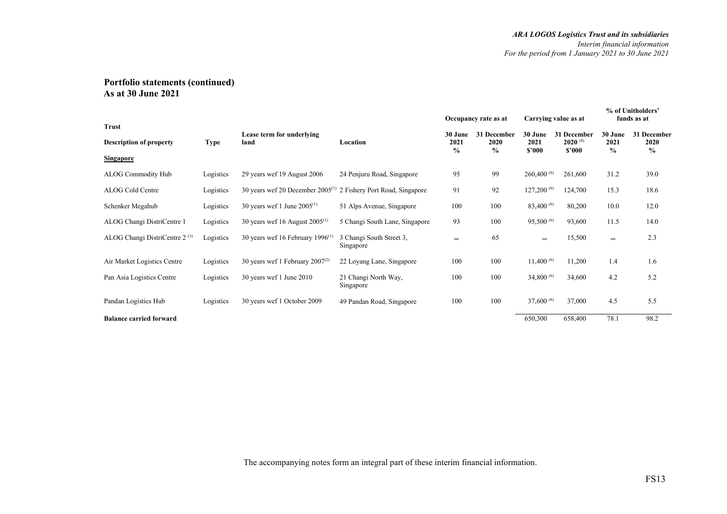|                                    |             |                                              |                                       |                       | Occupancy rate as at  | Carrying value as at |                        |                       | % of Unitholders'<br>funds as at |
|------------------------------------|-------------|----------------------------------------------|---------------------------------------|-----------------------|-----------------------|----------------------|------------------------|-----------------------|----------------------------------|
| Trust                              |             | Lease term for underlying                    |                                       | 30 June               | 31 December           | 30 June              | 31 December            | 30 June               | 31 December                      |
| <b>Description of property</b>     | <b>Type</b> | land                                         | Location                              | 2021<br>$\frac{0}{0}$ | 2020<br>$\frac{0}{0}$ | 2021<br>\$'000       | $2020^{(8)}$<br>\$2000 | 2021<br>$\frac{0}{0}$ | 2020<br>$\frac{0}{0}$            |
| <b>Singapore</b>                   |             |                                              |                                       |                       |                       |                      |                        |                       |                                  |
| <b>ALOG Commodity Hub</b>          | Logistics   | 29 years wef 19 August 2006                  | 24 Penjuru Road, Singapore            | 95                    | 99                    | 260,400 (6)          | 261,600                | 31.2                  | 39.0                             |
| ALOG Cold Centre                   | Logistics   | 30 years wef 20 December $2005^{(1)}$        | 2 Fishery Port Road, Singapore        | 91                    | 92                    | 127,200 (6)          | 124,700                | 15.3                  | 18.6                             |
| Schenker Megahub                   | Logistics   | 30 years wef 1 June $2005^{(1)}$             | 51 Alps Avenue, Singapore             | 100                   | 100                   | $83,400\,^{(6)}$     | 80,200                 | 10.0                  | 12.0                             |
| ALOG Changi DistriCentre 1         | Logistics   | 30 years wef 16 August $2005^{(1)}$          | 5 Changi South Lane, Singapore        | 93                    | 100                   | $95,500^{(6)}$       | 93,600                 | 11.5                  | 14.0                             |
| ALOG Changi DistriCentre $2^{(3)}$ | Logistics   | 30 years wef 16 February 1996 <sup>(1)</sup> | 3 Changi South Street 3,<br>Singapore |                       | 65                    | -                    | 15,500                 | —                     | 2.3                              |
| Air Market Logistics Centre        | Logistics   | 30 years wef 1 February $2007^{(2)}$         | 22 Loyang Lane, Singapore             | 100                   | 100                   | $11,400^{(6)}$       | 11,200                 | 1.4                   | 1.6                              |
| Pan Asia Logistics Centre          | Logistics   | 30 years wef 1 June 2010                     | 21 Changi North Way,<br>Singapore     | 100                   | 100                   | 34,800 $(6)$         | 34,600                 | 4.2                   | 5.2                              |
| Pandan Logistics Hub               | Logistics   | 30 years wef 1 October 2009                  | 49 Pandan Road, Singapore             | 100                   | 100                   | 37,600 (6)           | 37,000                 | 4.5                   | 5.5                              |
| <b>Balance carried forward</b>     |             |                                              |                                       |                       |                       | 650,300              | 658,400                | 78.1                  | 98.2                             |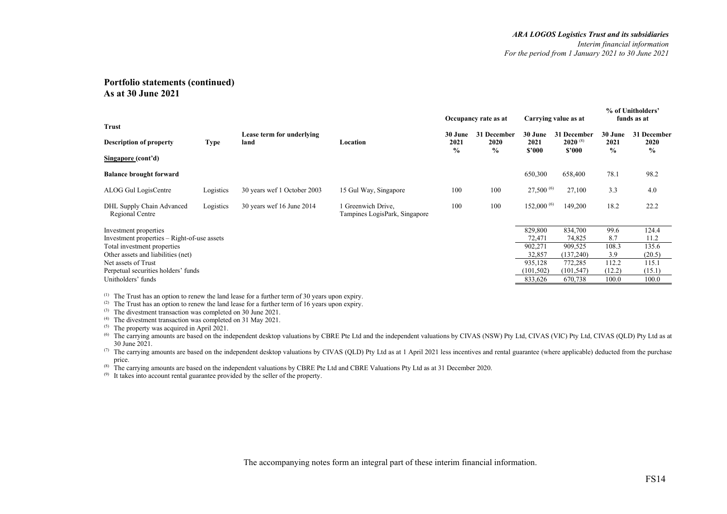| <b>Trust</b>                                                                                                                                                                                                                  |             |                                   |                                                   |                 | Occupancy rate as at |                                                                            | Carrying value as at                                                          |                                                         | % of Unitholders'<br>funds as at                             |
|-------------------------------------------------------------------------------------------------------------------------------------------------------------------------------------------------------------------------------|-------------|-----------------------------------|---------------------------------------------------|-----------------|----------------------|----------------------------------------------------------------------------|-------------------------------------------------------------------------------|---------------------------------------------------------|--------------------------------------------------------------|
| <b>Description of property</b>                                                                                                                                                                                                | <b>Type</b> | Lease term for underlying<br>land | Location                                          | 30 June<br>2021 | 31 December<br>2020  | 30 June<br>2021                                                            | 31 December<br>$2020^{(8)}$                                                   | 30 June<br>2021                                         | 31 December<br>2020                                          |
| Singapore (cont'd)                                                                                                                                                                                                            |             |                                   |                                                   | $\frac{0}{0}$   | $\%$                 | \$'000                                                                     | \$2000                                                                        | $\frac{0}{0}$                                           | $\%$                                                         |
| <b>Balance brought forward</b>                                                                                                                                                                                                |             |                                   |                                                   |                 |                      | 650,300                                                                    | 658,400                                                                       | 78.1                                                    | 98.2                                                         |
| ALOG Gul LogisCentre                                                                                                                                                                                                          | Logistics   | 30 years wef 1 October 2003       | 15 Gul Way, Singapore                             | 100             | 100                  | $27,500^{(6)}$                                                             | 27,100                                                                        | 3.3                                                     | 4.0                                                          |
| DHL Supply Chain Advanced<br>Regional Centre                                                                                                                                                                                  | Logistics   | 30 years wef 16 June 2014         | Greenwich Drive,<br>Tampines LogisPark, Singapore | 100             | 100                  | 152,000 (6)                                                                | 149,200                                                                       | 18.2                                                    | 22.2                                                         |
| Investment properties<br>Investment properties – Right-of-use assets<br>Total investment properties<br>Other assets and liabilities (net)<br>Net assets of Trust<br>Perpetual securities holders' funds<br>Unitholders' funds |             |                                   |                                                   |                 |                      | 829,800<br>72,471<br>902,271<br>32,857<br>935,128<br>(101, 502)<br>833,626 | 834,700<br>74,825<br>909,525<br>(137,240)<br>772,285<br>(101, 547)<br>670,738 | 99.6<br>8.7<br>108.3<br>3.9<br>112.2<br>(12.2)<br>100.0 | 124.4<br>11.2<br>135.6<br>(20.5)<br>115.1<br>(15.1)<br>100.0 |

 $(1)$  The Trust has an option to renew the land lease for a further term of 30 years upon expiry.

<sup>(2)</sup> The Trust has an option to renew the land lease for a further term of 16 years upon expiry.

 $(3)$  The divestment transaction was completed on 30 June 2021.

<sup>(4)</sup> The divestment transaction was completed on 31 May 2021.

 $(5)$  The property was acquired in April 2021.

The carrying amounts are based on the independent desktop valuations by CBRE Pte Ltd and the independent valuations by CIVAS (NSW) Pty Ltd, CIVAS (VIC) Pty Ltd, CIVAS (QLD) Pty Ltd as at 30 June 2021.

<sup>(7)</sup> The carrying amounts are based on the independent desktop valuations by CIVAS (QLD) Pty Ltd as at 1 April 2021 less incentives and rental guarantee (where applicable) deducted from the purchase price.

(8) The carrying amounts are based on the independent valuations by CBRE Pte Ltd and CBRE Valuations Pty Ltd as at 31 December 2020.

(9) It takes into account rental guarantee provided by the seller of the property.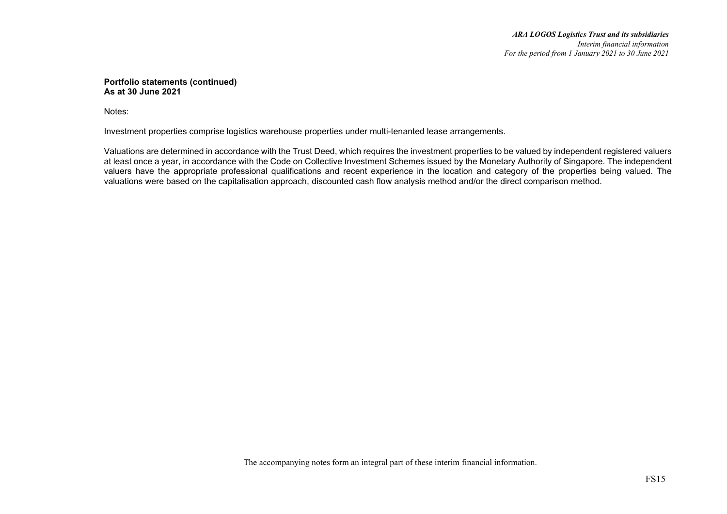Notes:

Investment properties comprise logistics warehouse properties under multi-tenanted lease arrangements.

Valuations are determined in accordance with the Trust Deed, which requires the investment properties to be valued by independent registered valuers at least once a year, in accordance with the Code on Collective Investment Schemes issued by the Monetary Authority of Singapore. The independent valuers have the appropriate professional qualifications and recent experience in the location and category of the properties being valued. The valuations were based on the capitalisation approach, discounted cash flow analysis method and/or the direct comparison method.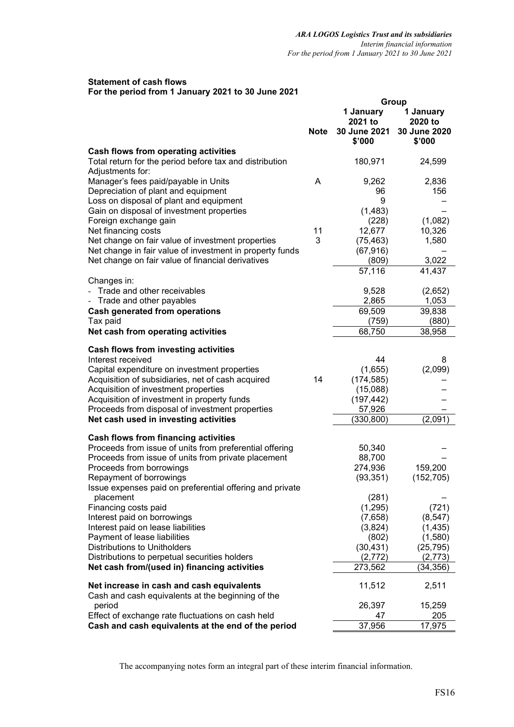## **Statement of cash flows For the period from 1 January 2021 to 30 June 2021**

|                                                                                                                     |             | Group                  |                        |  |
|---------------------------------------------------------------------------------------------------------------------|-------------|------------------------|------------------------|--|
|                                                                                                                     |             | 1 January<br>2021 to   | 1 January<br>2020 to   |  |
|                                                                                                                     | <b>Note</b> | 30 June 2021<br>\$'000 | 30 June 2020<br>\$'000 |  |
| Cash flows from operating activities<br>Total return for the period before tax and distribution<br>Adjustments for: |             | 180,971                | 24,599                 |  |
| Manager's fees paid/payable in Units                                                                                | A           | 9,262                  | 2,836                  |  |
| Depreciation of plant and equipment<br>Loss on disposal of plant and equipment                                      |             | 96<br>9                | 156                    |  |
| Gain on disposal of investment properties                                                                           |             | (1,483)                |                        |  |
| Foreign exchange gain                                                                                               |             | (228)                  | (1,082)                |  |
| Net financing costs<br>Net change on fair value of investment properties                                            | 11<br>3     | 12,677<br>(75, 463)    | 10,326<br>1,580        |  |
| Net change in fair value of investment in property funds                                                            |             | (67, 916)              |                        |  |
| Net change on fair value of financial derivatives                                                                   |             | (809)                  | 3,022                  |  |
|                                                                                                                     |             | 57,116                 | 41,437                 |  |
| Changes in:<br>- Trade and other receivables                                                                        |             | 9,528                  | (2,652)                |  |
| Trade and other payables<br>$\qquad \qquad \blacksquare$                                                            |             | 2,865                  | 1,053                  |  |
| <b>Cash generated from operations</b>                                                                               |             | 69,509                 | 39,838                 |  |
| Tax paid<br>Net cash from operating activities                                                                      |             | (759)<br>68,750        | (880)<br>38,958        |  |
|                                                                                                                     |             |                        |                        |  |
| Cash flows from investing activities                                                                                |             |                        |                        |  |
| Interest received<br>Capital expenditure on investment properties                                                   |             | 44<br>(1,655)          | 8<br>(2,099)           |  |
| Acquisition of subsidiaries, net of cash acquired                                                                   | 14          | (174, 585)             |                        |  |
| Acquisition of investment properties                                                                                |             | (15,088)               |                        |  |
| Acquisition of investment in property funds                                                                         |             | (197, 442)             |                        |  |
| Proceeds from disposal of investment properties                                                                     |             | 57,926                 |                        |  |
| Net cash used in investing activities                                                                               |             | (330, 800)             | (2,091)                |  |
| Cash flows from financing activities                                                                                |             |                        |                        |  |
| Proceeds from issue of units from preferential offering                                                             |             | 50,340                 |                        |  |
| Proceeds from issue of units from private placement                                                                 |             | 88,700                 |                        |  |
| Proceeds from borrowings                                                                                            |             | 274,936                | 159,200                |  |
| Repayment of borrowings<br>Issue expenses paid on preferential offering and private                                 |             | (93, 351)              | (152, 705)             |  |
| placement                                                                                                           |             | (281)                  |                        |  |
| Financing costs paid                                                                                                |             | (1,295)                | (721)                  |  |
| Interest paid on borrowings                                                                                         |             | (7,658)                | (8, 547)               |  |
| Interest paid on lease liabilities                                                                                  |             | (3,824)                | (1, 435)               |  |
| Payment of lease liabilities                                                                                        |             | (802)                  | (1,580)                |  |
| Distributions to Unitholders<br>Distributions to perpetual securities holders                                       |             | (30, 431)<br>(2, 772)  | (25, 795)<br>(2, 773)  |  |
| Net cash from/(used in) financing activities                                                                        |             | 273,562                | (34,356)               |  |
|                                                                                                                     |             |                        |                        |  |
| Net increase in cash and cash equivalents<br>Cash and cash equivalents at the beginning of the                      |             | 11,512                 | 2,511                  |  |
| period                                                                                                              |             | 26,397                 | 15,259                 |  |
| Effect of exchange rate fluctuations on cash held                                                                   |             | 47                     | 205                    |  |
| Cash and cash equivalents at the end of the period                                                                  |             | 37,956                 | 17,975                 |  |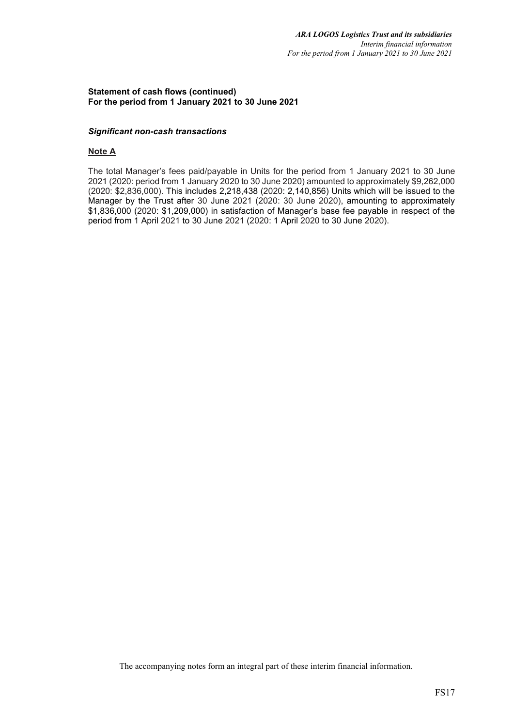## **Statement of cash flows (continued) For the period from 1 January 2021 to 30 June 2021**

## *Significant non-cash transactions*

# **Note A**

The total Manager's fees paid/payable in Units for the period from 1 January 2021 to 30 June 2021 (2020: period from 1 January 2020 to 30 June 2020) amounted to approximately \$9,262,000 (2020: \$2,836,000). This includes 2,218,438 (2020: 2,140,856) Units which will be issued to the Manager by the Trust after 30 June 2021 (2020: 30 June 2020), amounting to approximately \$1,836,000 (2020: \$1,209,000) in satisfaction of Manager's base fee payable in respect of the period from 1 April 2021 to 30 June 2021 (2020: 1 April 2020 to 30 June 2020).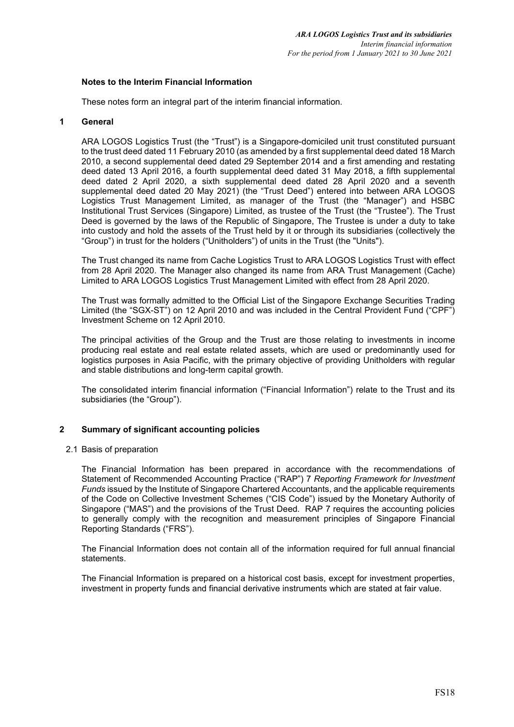## **Notes to the Interim Financial Information**

These notes form an integral part of the interim financial information.

#### **1 General**

ARA LOGOS Logistics Trust (the "Trust") is a Singapore-domiciled unit trust constituted pursuant to the trust deed dated 11 February 2010 (as amended by a first supplemental deed dated 18 March 2010, a second supplemental deed dated 29 September 2014 and a first amending and restating deed dated 13 April 2016, a fourth supplemental deed dated 31 May 2018, a fifth supplemental deed dated 2 April 2020, a sixth supplemental deed dated 28 April 2020 and a seventh supplemental deed dated 20 May 2021) (the "Trust Deed") entered into between ARA LOGOS Logistics Trust Management Limited, as manager of the Trust (the "Manager") and HSBC Institutional Trust Services (Singapore) Limited, as trustee of the Trust (the "Trustee"). The Trust Deed is governed by the laws of the Republic of Singapore, The Trustee is under a duty to take into custody and hold the assets of the Trust held by it or through its subsidiaries (collectively the "Group") in trust for the holders ("Unitholders") of units in the Trust (the "Units").

The Trust changed its name from Cache Logistics Trust to ARA LOGOS Logistics Trust with effect from 28 April 2020. The Manager also changed its name from ARA Trust Management (Cache) Limited to ARA LOGOS Logistics Trust Management Limited with effect from 28 April 2020.

The Trust was formally admitted to the Official List of the Singapore Exchange Securities Trading Limited (the "SGX-ST") on 12 April 2010 and was included in the Central Provident Fund ("CPF") Investment Scheme on 12 April 2010.

The principal activities of the Group and the Trust are those relating to investments in income producing real estate and real estate related assets, which are used or predominantly used for logistics purposes in Asia Pacific, with the primary objective of providing Unitholders with regular and stable distributions and long-term capital growth.

The consolidated interim financial information ("Financial Information") relate to the Trust and its subsidiaries (the "Group").

## **2 Summary of significant accounting policies**

### 2.1 Basis of preparation

The Financial Information has been prepared in accordance with the recommendations of Statement of Recommended Accounting Practice ("RAP") 7 *Reporting Framework for Investment Funds* issued by the Institute of Singapore Chartered Accountants, and the applicable requirements of the Code on Collective Investment Schemes ("CIS Code") issued by the Monetary Authority of Singapore ("MAS") and the provisions of the Trust Deed. RAP 7 requires the accounting policies to generally comply with the recognition and measurement principles of Singapore Financial Reporting Standards ("FRS").

The Financial Information does not contain all of the information required for full annual financial statements.

The Financial Information is prepared on a historical cost basis, except for investment properties, investment in property funds and financial derivative instruments which are stated at fair value.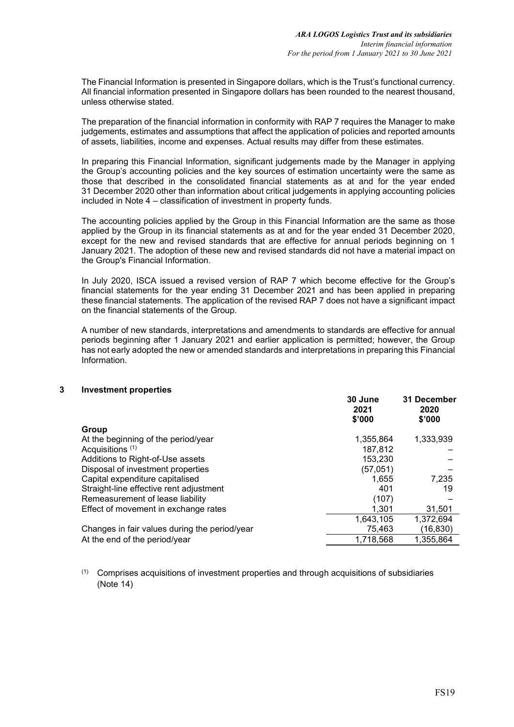The Financial Information is presented in Singapore dollars, which is the Trust's functional currency. All financial information presented in Singapore dollars has been rounded to the nearest thousand, unless otherwise stated.

The preparation of the financial information in conformity with RAP 7 requires the Manager to make judgements, estimates and assumptions that affect the application of policies and reported amounts of assets, liabilities, income and expenses. Actual results may differ from these estimates.

In preparing this Financial Information, significant judgements made by the Manager in applying the Group's accounting policies and the key sources of estimation uncertainty were the same as those that described in the consolidated financial statements as at and for the year ended 31 December 2020 other than information about critical judgements in applying accounting policies included in Note 4 – classification of investment in property funds.

The accounting policies applied by the Group in this Financial Information are the same as those applied by the Group in its financial statements as at and for the year ended 31 December 2020, except for the new and revised standards that are effective for annual periods beginning on 1 January 2021. The adoption of these new and revised standards did not have a material impact on the Group's Financial Information.

In July 2020, ISCA issued a revised version of RAP 7 which become effective for the Group's financial statements for the year ending 31 December 2021 and has been applied in preparing these financial statements. The application of the revised RAP 7 does not have a significant impact on the financial statements of the Group.

A number of new standards, interpretations and amendments to standards are effective for annual periods beginning after 1 January 2021 and earlier application is permitted; however, the Group has not early adopted the new or amended standards and interpretations in preparing this Financial Information.

### **3 Investment properties**

|                                               | 30 June<br>2021<br>\$'000 | 31 December<br>2020<br>\$'000 |
|-----------------------------------------------|---------------------------|-------------------------------|
| Group                                         |                           |                               |
| At the beginning of the period/year           | 1,355,864                 | 1,333,939                     |
| Acquisitions <sup>(1)</sup>                   | 187,812                   |                               |
| Additions to Right-of-Use assets              | 153,230                   |                               |
| Disposal of investment properties             | (57,051)                  |                               |
| Capital expenditure capitalised               | 1,655                     | 7,235                         |
| Straight-line effective rent adjustment       | 401                       | 19                            |
| Remeasurement of lease liability              | (107)                     |                               |
| Effect of movement in exchange rates          | 1.301                     | 31,501                        |
|                                               | 1,643,105                 | 1,372,694                     |
| Changes in fair values during the period/year | 75.463                    | (16, 830)                     |
| At the end of the period/year                 | 1.718.568                 | 1,355,864                     |

(1) Comprises acquisitions of investment properties and through acquisitions of subsidiaries (Note 14)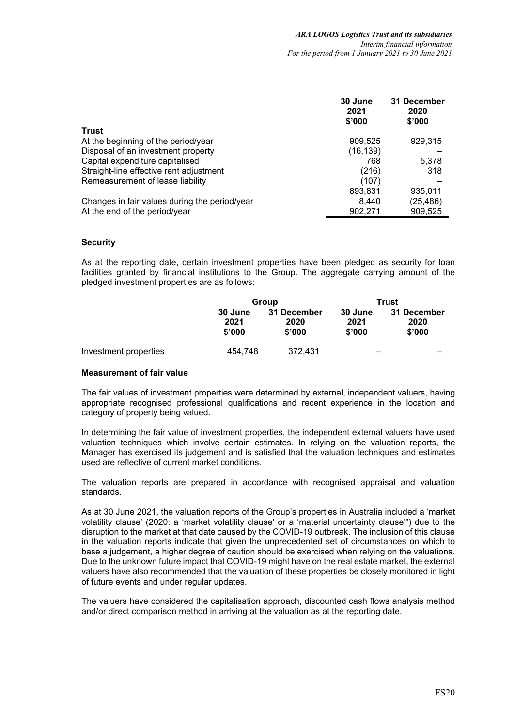|                                               | 30 June<br>2021<br>\$'000 | 31 December<br>2020<br>\$'000 |
|-----------------------------------------------|---------------------------|-------------------------------|
| Trust                                         |                           |                               |
| At the beginning of the period/year           | 909,525                   | 929,315                       |
| Disposal of an investment property            | (16, 139)                 |                               |
| Capital expenditure capitalised               | 768                       | 5,378                         |
| Straight-line effective rent adjustment       | (216)                     | 318                           |
| Remeasurement of lease liability              | (107)                     |                               |
|                                               | 893,831                   | 935,011                       |
| Changes in fair values during the period/year | 8.440                     | (25,486)                      |
| At the end of the period/year                 | 902,271                   | 909,525                       |

## **Security**

As at the reporting date, certain investment properties have been pledged as security for loan facilities granted by financial institutions to the Group. The aggregate carrying amount of the pledged investment properties are as follows:

|                       |                           | Group                         | Trust                     |                               |  |
|-----------------------|---------------------------|-------------------------------|---------------------------|-------------------------------|--|
|                       | 30 June<br>2021<br>\$'000 | 31 December<br>2020<br>\$'000 | 30 June<br>2021<br>\$'000 | 31 December<br>2020<br>\$'000 |  |
| Investment properties | 454.748                   | 372.431                       | _                         |                               |  |

### **Measurement of fair value**

The fair values of investment properties were determined by external, independent valuers, having appropriate recognised professional qualifications and recent experience in the location and category of property being valued.

In determining the fair value of investment properties, the independent external valuers have used valuation techniques which involve certain estimates. In relying on the valuation reports, the Manager has exercised its judgement and is satisfied that the valuation techniques and estimates used are reflective of current market conditions.

The valuation reports are prepared in accordance with recognised appraisal and valuation standards.

As at 30 June 2021, the valuation reports of the Group's properties in Australia included a 'market volatility clause' (2020: a 'market volatility clause' or a 'material uncertainty clause'") due to the disruption to the market at that date caused by the COVID-19 outbreak. The inclusion of this clause in the valuation reports indicate that given the unprecedented set of circumstances on which to base a judgement, a higher degree of caution should be exercised when relying on the valuations. Due to the unknown future impact that COVID-19 might have on the real estate market, the external valuers have also recommended that the valuation of these properties be closely monitored in light of future events and under regular updates.

The valuers have considered the capitalisation approach, discounted cash flows analysis method and/or direct comparison method in arriving at the valuation as at the reporting date.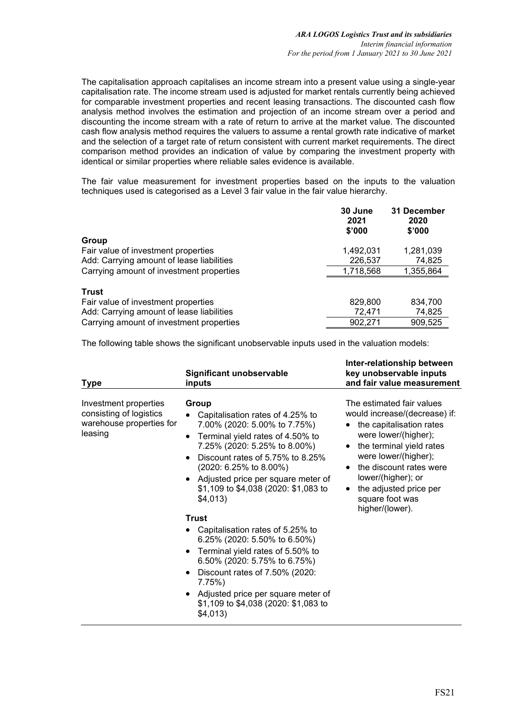The capitalisation approach capitalises an income stream into a present value using a single-year capitalisation rate. The income stream used is adjusted for market rentals currently being achieved for comparable investment properties and recent leasing transactions. The discounted cash flow analysis method involves the estimation and projection of an income stream over a period and discounting the income stream with a rate of return to arrive at the market value. The discounted cash flow analysis method requires the valuers to assume a rental growth rate indicative of market and the selection of a target rate of return consistent with current market requirements. The direct comparison method provides an indication of value by comparing the investment property with identical or similar properties where reliable sales evidence is available.

The fair value measurement for investment properties based on the inputs to the valuation techniques used is categorised as a Level 3 fair value in the fair value hierarchy.

|                                           | 30 June<br>2021<br>\$'000 | 31 December<br>2020<br>\$'000 |
|-------------------------------------------|---------------------------|-------------------------------|
| Group                                     |                           |                               |
| Fair value of investment properties       | 1,492,031                 | 1,281,039                     |
| Add: Carrying amount of lease liabilities | 226,537                   | 74,825                        |
| Carrying amount of investment properties  | 1,718,568                 | 1,355,864                     |
| <b>Trust</b>                              |                           |                               |
| Fair value of investment properties       | 829,800                   | 834,700                       |
| Add: Carrying amount of lease liabilities | 72,471                    | 74,825                        |
| Carrying amount of investment properties  | 902.271                   | 909.525                       |

The following table shows the significant unobservable inputs used in the valuation models:

| <b>Type</b>                                                                             | Significant unobservable<br>inputs                                                                                                                                                                                                                                                                                                                                                                                                                                                                                                                                                                                   | Inter-relationship between<br>key unobservable inputs<br>and fair value measurement                                                                                                                                                                                                                             |
|-----------------------------------------------------------------------------------------|----------------------------------------------------------------------------------------------------------------------------------------------------------------------------------------------------------------------------------------------------------------------------------------------------------------------------------------------------------------------------------------------------------------------------------------------------------------------------------------------------------------------------------------------------------------------------------------------------------------------|-----------------------------------------------------------------------------------------------------------------------------------------------------------------------------------------------------------------------------------------------------------------------------------------------------------------|
| Investment properties<br>consisting of logistics<br>warehouse properties for<br>leasing | Group<br>Capitalisation rates of 4.25% to<br>7.00% (2020: 5.00% to 7.75%)<br>Terminal yield rates of 4.50% to<br>7.25% (2020: 5.25% to 8.00%)<br>Discount rates of 5.75% to 8.25%<br>$(2020: 6.25\% \text{ to } 8.00\%)$<br>• Adjusted price per square meter of<br>\$1,109 to \$4,038 (2020: \$1,083 to<br>\$4,013)<br><b>Trust</b><br>Capitalisation rates of 5.25% to<br>6.25% (2020: 5.50% to 6.50%)<br>Terminal yield rates of 5.50% to<br>6.50% (2020: 5.75% to 6.75%)<br>Discount rates of 7.50% (2020:<br>$7.75\%$<br>Adjusted price per square meter of<br>\$1,109 to \$4,038 (2020: \$1,083 to<br>\$4,013) | The estimated fair values<br>would increase/(decrease) if:<br>the capitalisation rates<br>$\bullet$<br>were lower/(higher);<br>the terminal yield rates<br>were lower/(higher);<br>• the discount rates were<br>lower/(higher); or<br>the adjusted price per<br>$\bullet$<br>square foot was<br>higher/(lower). |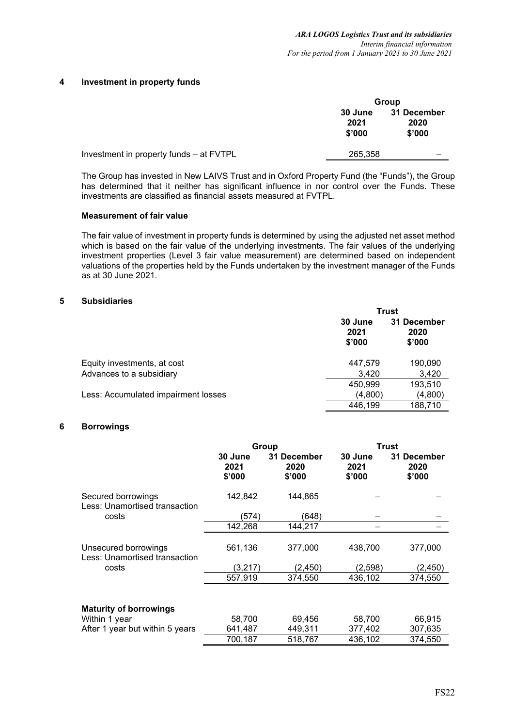### **4 Investment in property funds**

|                                         |                                  | Group                         |
|-----------------------------------------|----------------------------------|-------------------------------|
|                                         | <b>30 June</b><br>2021<br>\$'000 | 31 December<br>2020<br>\$'000 |
| Investment in property funds – at FVTPL | 265,358                          |                               |

The Group has invested in New LAIVS Trust and in Oxford Property Fund (the "Funds"), the Group has determined that it neither has significant influence in nor control over the Funds. These investments are classified as financial assets measured at FVTPL.

#### **Measurement of fair value**

The fair value of investment in property funds is determined by using the adjusted net asset method which is based on the fair value of the underlying investments. The fair values of the underlying investment properties (Level 3 fair value measurement) are determined based on independent valuations of the properties held by the Funds undertaken by the investment manager of the Funds as at 30 June 2021.

### **5 Subsidiaries**

|                                     |                           | <b>Trust</b>                  |
|-------------------------------------|---------------------------|-------------------------------|
|                                     | 30 June<br>2021<br>\$'000 | 31 December<br>2020<br>\$'000 |
| Equity investments, at cost         | 447.579                   | 190,090                       |
| Advances to a subsidiary            | 3,420                     | 3,420                         |
|                                     | 450,999                   | 193,510                       |
| Less: Accumulated impairment losses | (4,800)                   | (4,800)                       |
|                                     | 446,199                   | 188,710                       |

### **6 Borrowings**

|                                                       | Group                     |                               | Trust                     |                               |  |
|-------------------------------------------------------|---------------------------|-------------------------------|---------------------------|-------------------------------|--|
|                                                       | 30 June<br>2021<br>\$'000 | 31 December<br>2020<br>\$'000 | 30 June<br>2021<br>\$'000 | 31 December<br>2020<br>\$'000 |  |
| Secured borrowings<br>Less: Unamortised transaction   | 142,842                   | 144,865                       |                           |                               |  |
| costs                                                 | (574)                     | (648)                         |                           |                               |  |
|                                                       | 142,268                   | 144,217                       |                           |                               |  |
| Unsecured borrowings<br>Less: Unamortised transaction | 561,136                   | 377,000                       | 438,700                   | 377,000                       |  |
| costs                                                 | (3,217)                   | (2, 450)                      | (2, 598)                  | (2, 450)                      |  |
|                                                       | 557,919                   | 374,550                       | 436,102                   | 374,550                       |  |
| <b>Maturity of borrowings</b>                         |                           |                               |                           |                               |  |
| Within 1 year                                         | 58,700                    | 69,456                        | 58,700                    | 66,915                        |  |
| After 1 year but within 5 years                       | 641,487                   | 449,311                       | 377,402                   | 307,635                       |  |
|                                                       | 700,187                   | 518,767                       | 436,102                   | 374,550                       |  |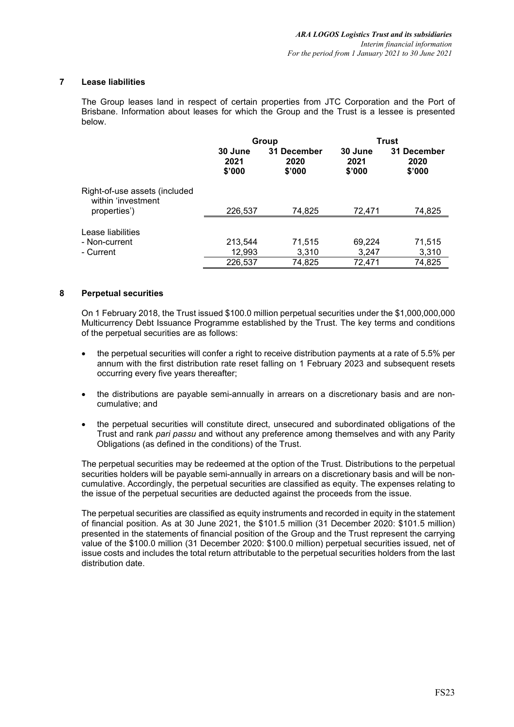## **7 Lease liabilities**

The Group leases land in respect of certain properties from JTC Corporation and the Port of Brisbane. Information about leases for which the Group and the Trust is a lessee is presented below.

|                                                                     | Group                     |                               |                           | Trust                         |
|---------------------------------------------------------------------|---------------------------|-------------------------------|---------------------------|-------------------------------|
|                                                                     | 30 June<br>2021<br>\$'000 | 31 December<br>2020<br>\$'000 | 30 June<br>2021<br>\$'000 | 31 December<br>2020<br>\$'000 |
| Right-of-use assets (included<br>within 'investment<br>properties') | 226,537                   | 74,825                        | 72,471                    | 74,825                        |
| Lease liabilities<br>- Non-current<br>- Current                     | 213,544<br>12,993         | 71,515<br>3,310               | 69,224<br>3,247           | 71,515<br>3,310               |
|                                                                     | 226,537                   | 74,825                        | 72,471                    | 74,825                        |

## **8 Perpetual securities**

On 1 February 2018, the Trust issued \$100.0 million perpetual securities under the \$1,000,000,000 Multicurrency Debt Issuance Programme established by the Trust. The key terms and conditions of the perpetual securities are as follows:

- the perpetual securities will confer a right to receive distribution payments at a rate of 5.5% per annum with the first distribution rate reset falling on 1 February 2023 and subsequent resets occurring every five years thereafter;
- the distributions are payable semi-annually in arrears on a discretionary basis and are noncumulative; and
- the perpetual securities will constitute direct, unsecured and subordinated obligations of the Trust and rank *pari passu* and without any preference among themselves and with any Parity Obligations (as defined in the conditions) of the Trust.

The perpetual securities may be redeemed at the option of the Trust. Distributions to the perpetual securities holders will be payable semi-annually in arrears on a discretionary basis and will be noncumulative. Accordingly, the perpetual securities are classified as equity. The expenses relating to the issue of the perpetual securities are deducted against the proceeds from the issue.

The perpetual securities are classified as equity instruments and recorded in equity in the statement of financial position. As at 30 June 2021, the \$101.5 million (31 December 2020: \$101.5 million) presented in the statements of financial position of the Group and the Trust represent the carrying value of the \$100.0 million (31 December 2020: \$100.0 million) perpetual securities issued, net of issue costs and includes the total return attributable to the perpetual securities holders from the last distribution date.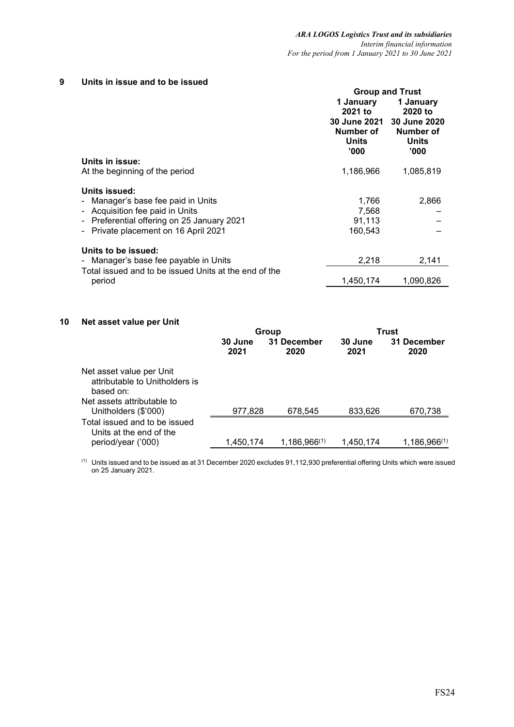## **9 Units in issue and to be issued**

|                                                       |                                             | <b>Group and Trust</b>               |
|-------------------------------------------------------|---------------------------------------------|--------------------------------------|
|                                                       | 1 January<br>2021 to<br><b>30 June 2021</b> | 1 January<br>2020 to<br>30 June 2020 |
|                                                       | Number of<br><b>Units</b><br>'000           | Number of<br><b>Units</b><br>'000    |
| Units in issue:                                       |                                             |                                      |
| At the beginning of the period                        | 1,186,966                                   | 1,085,819                            |
| Units issued:                                         |                                             |                                      |
| Manager's base fee paid in Units                      | 1,766                                       | 2,866                                |
| - Acquisition fee paid in Units                       | 7,568                                       |                                      |
| - Preferential offering on 25 January 2021            | 91,113                                      |                                      |
| Private placement on 16 April 2021                    | 160,543                                     |                                      |
| Units to be issued:                                   |                                             |                                      |
| - Manager's base fee payable in Units                 | 2,218                                       | 2,141                                |
| Total issued and to be issued Units at the end of the |                                             |                                      |
| period                                                | 1.450.174                                   | 1.090.826                            |

## **10 Net asset value per Unit**

|                                                                                                       |                 | Group               |                 | Trust               |
|-------------------------------------------------------------------------------------------------------|-----------------|---------------------|-----------------|---------------------|
|                                                                                                       | 30 June<br>2021 | 31 December<br>2020 | 30 June<br>2021 | 31 December<br>2020 |
| Net asset value per Unit<br>attributable to Unitholders is<br>based on:<br>Net assets attributable to |                 |                     |                 |                     |
| Unitholders (\$'000)                                                                                  | 977,828         | 678,545             | 833,626         | 670,738             |
| Total issued and to be issued<br>Units at the end of the                                              |                 |                     |                 |                     |
| period/year ('000)                                                                                    | 1,450,174       | $1,186,966^{(1)}$   | 1,450,174       | $1,186,966^{(1)}$   |

 $(1)$  Units issued and to be issued as at 31 December 2020 excludes 91,112,930 preferential offering Units which were issued on 25 January 2021.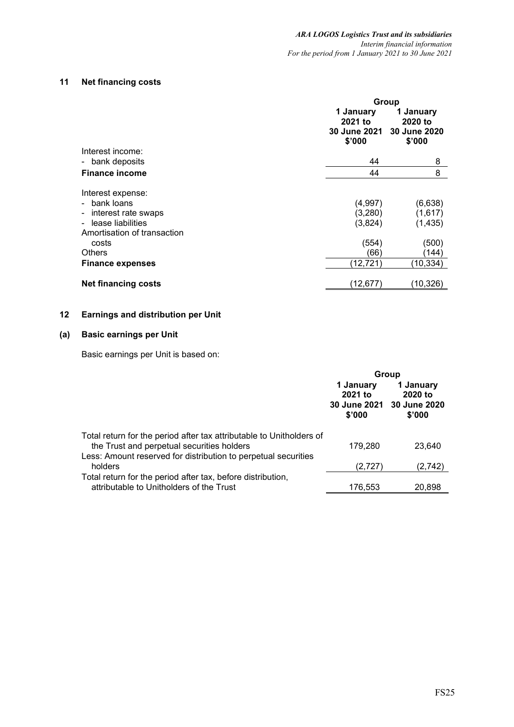# **11 Net financing costs**

|                                                                                                                                                                 | Group                                                      |                                                               |
|-----------------------------------------------------------------------------------------------------------------------------------------------------------------|------------------------------------------------------------|---------------------------------------------------------------|
|                                                                                                                                                                 | 1 January<br>2021 to<br><b>30 June 2021</b><br>\$'000      | 1 January<br>2020 to<br>30 June 2020<br>\$'000                |
| Interest income:                                                                                                                                                |                                                            |                                                               |
| bank deposits<br>$\sim$                                                                                                                                         | 44                                                         | 8                                                             |
| <b>Finance income</b>                                                                                                                                           | 44                                                         | 8                                                             |
| Interest expense:<br>bank loans<br>interest rate swaps<br>lease liabilities<br>Amortisation of transaction<br>costs<br><b>Others</b><br><b>Finance expenses</b> | (4,997)<br>(3,280)<br>(3,824)<br>(554)<br>(66<br>(12, 721) | (6,638)<br>(1,617)<br>(1, 435)<br>(500)<br>(144)<br>(10, 334) |
| <b>Net financing costs</b>                                                                                                                                      | (12,677)                                                   | (10, 326)                                                     |

# **12 Earnings and distribution per Unit**

# **(a) Basic earnings per Unit**

Basic earnings per Unit is based on:

|                                                                                                                    |                                | Group                                                       |
|--------------------------------------------------------------------------------------------------------------------|--------------------------------|-------------------------------------------------------------|
|                                                                                                                    | 1 January<br>2021 to<br>\$'000 | 1 January<br>2020 to<br>30 June 2021 30 June 2020<br>\$'000 |
| Total return for the period after tax attributable to Unitholders of<br>the Trust and perpetual securities holders | 179,280                        | 23,640                                                      |
| Less: Amount reserved for distribution to perpetual securities<br>holders                                          | (2,727)                        | (2,742)                                                     |
| Total return for the period after tax, before distribution,<br>attributable to Unitholders of the Trust            | 176.553                        | 20.898                                                      |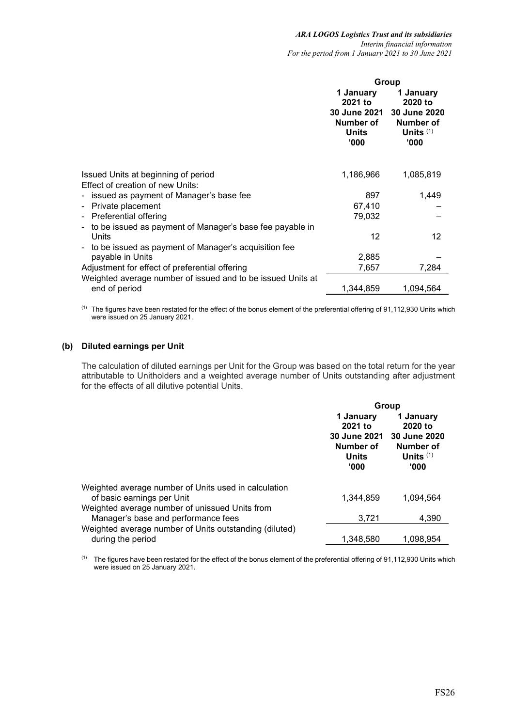|                                                                                                      |                                                           | Group                                                                                 |
|------------------------------------------------------------------------------------------------------|-----------------------------------------------------------|---------------------------------------------------------------------------------------|
|                                                                                                      | 1 January<br>2021 to<br>Number of<br><b>Units</b><br>'000 | 1 January<br>2020 to<br>30 June 2021 30 June 2020<br>Number of<br>Units $(1)$<br>'000 |
| Issued Units at beginning of period<br>Effect of creation of new Units:                              | 1,186,966                                                 | 1,085,819                                                                             |
| - issued as payment of Manager's base fee                                                            | 897                                                       | 1,449                                                                                 |
| Private placement<br>$\overline{\phantom{a}}$                                                        | 67,410                                                    |                                                                                       |
| <b>Preferential offering</b><br>$\blacksquare$                                                       | 79,032                                                    |                                                                                       |
| to be issued as payment of Manager's base fee payable in<br>$\qquad \qquad \blacksquare$<br>Units    | 12                                                        | 12                                                                                    |
| to be issued as payment of Manager's acquisition fee<br>$\overline{\phantom{a}}$<br>payable in Units | 2,885                                                     |                                                                                       |
| Adjustment for effect of preferential offering                                                       | 7,657                                                     | 7,284                                                                                 |
| Weighted average number of issued and to be issued Units at                                          |                                                           |                                                                                       |
| end of period                                                                                        | 1.344.859                                                 | 1.094.564                                                                             |

(1) The figures have been restated for the effect of the bonus element of the preferential offering of 91,112,930 Units which were issued on 25 January 2021.

# **(b) Diluted earnings per Unit**

The calculation of diluted earnings per Unit for the Group was based on the total return for the year attributable to Unitholders and a weighted average number of Units outstanding after adjustment for the effects of all dilutive potential Units.

|                                                                                       | Group                                                             |                                                                  |  |
|---------------------------------------------------------------------------------------|-------------------------------------------------------------------|------------------------------------------------------------------|--|
|                                                                                       | 1 January<br>2021 to<br>30 June 2021<br>Number of<br><b>Units</b> | 1 January<br>2020 to<br>30 June 2020<br>Number of<br>Units $(1)$ |  |
|                                                                                       | '000                                                              | '000                                                             |  |
| Weighted average number of Units used in calculation<br>of basic earnings per Unit    | 1.344.859                                                         | 1.094.564                                                        |  |
| Weighted average number of unissued Units from<br>Manager's base and performance fees | 3,721                                                             | 4.390                                                            |  |
| Weighted average number of Units outstanding (diluted)<br>during the period           | 1.348.580                                                         | 1.098.954                                                        |  |

<sup>(1)</sup> The figures have been restated for the effect of the bonus element of the preferential offering of 91,112,930 Units which were issued on 25 January 2021.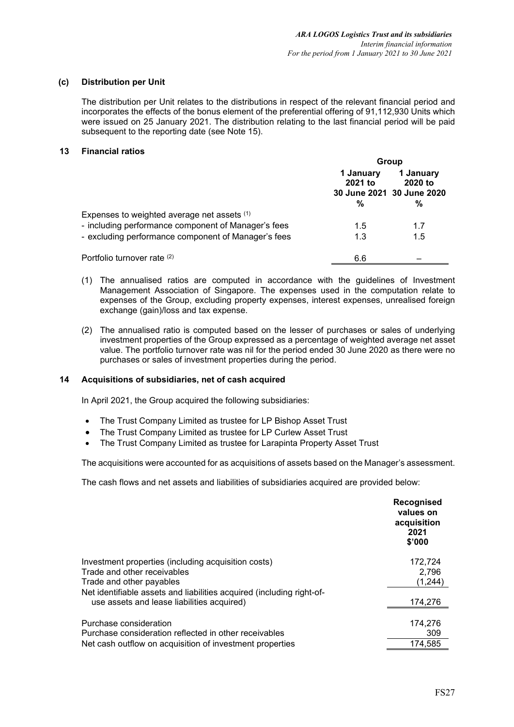### **(c) Distribution per Unit**

The distribution per Unit relates to the distributions in respect of the relevant financial period and incorporates the effects of the bonus element of the preferential offering of 91,112,930 Units which were issued on 25 January 2021. The distribution relating to the last financial period will be paid subsequent to the reporting date (see Note 15).

### **13 Financial ratios**

|                                                     | Group                     |                                                        |  |
|-----------------------------------------------------|---------------------------|--------------------------------------------------------|--|
|                                                     | 1 January<br>2021 to<br>% | 1 January<br>2020 to<br>30 June 2021 30 June 2020<br>% |  |
| Expenses to weighted average net assets (1)         |                           |                                                        |  |
| - including performance component of Manager's fees | 1.5                       | 17                                                     |  |
| - excluding performance component of Manager's fees | 1.3                       | 1.5                                                    |  |
| Portfolio turnover rate (2)                         | 6.6                       |                                                        |  |

- (1) The annualised ratios are computed in accordance with the guidelines of Investment Management Association of Singapore. The expenses used in the computation relate to expenses of the Group, excluding property expenses, interest expenses, unrealised foreign exchange (gain)/loss and tax expense.
- (2) The annualised ratio is computed based on the lesser of purchases or sales of underlying investment properties of the Group expressed as a percentage of weighted average net asset value. The portfolio turnover rate was nil for the period ended 30 June 2020 as there were no purchases or sales of investment properties during the period.

### **14 Acquisitions of subsidiaries, net of cash acquired**

In April 2021, the Group acquired the following subsidiaries:

- The Trust Company Limited as trustee for LP Bishop Asset Trust
- The Trust Company Limited as trustee for LP Curlew Asset Trust
- The Trust Company Limited as trustee for Larapinta Property Asset Trust

The acquisitions were accounted for as acquisitions of assets based on the Manager's assessment.

The cash flows and net assets and liabilities of subsidiaries acquired are provided below:

|                                                                                                                     | Recognised<br>values on<br>acquisition<br>2021<br>\$'000 |
|---------------------------------------------------------------------------------------------------------------------|----------------------------------------------------------|
| Investment properties (including acquisition costs)<br>Trade and other receivables<br>Trade and other payables      | 172,724<br>2,796<br>(1,244)                              |
| Net identifiable assets and liabilities acquired (including right-of-<br>use assets and lease liabilities acquired) | 174,276                                                  |
| Purchase consideration<br>Purchase consideration reflected in other receivables                                     | 174,276<br>309                                           |
| Net cash outflow on acquisition of investment properties                                                            | 174,585                                                  |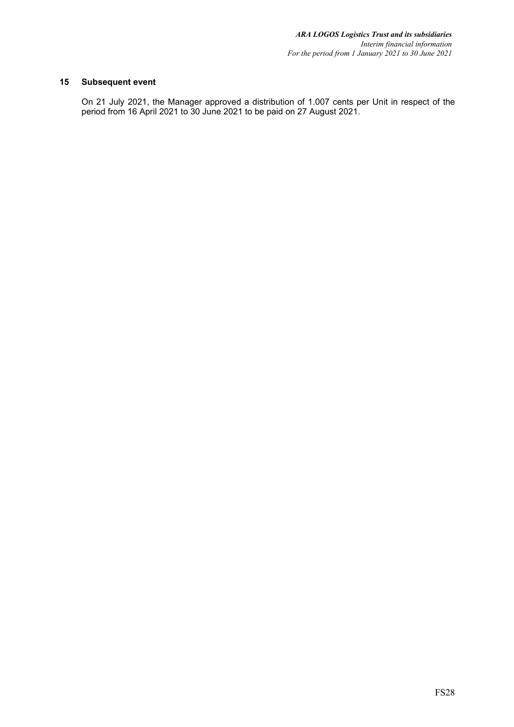# **15 Subsequent event**

On 21 July 2021, the Manager approved a distribution of 1.007 cents per Unit in respect of the period from 16 April 2021 to 30 June 2021 to be paid on 27 August 2021.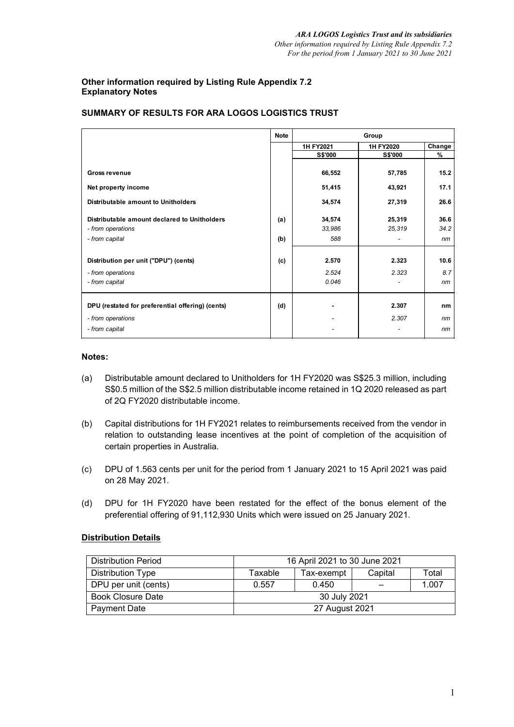## **Other information required by Listing Rule Appendix 7.2 Explanatory Notes**

|                                                  | <b>Note</b> | Group          |                |        |
|--------------------------------------------------|-------------|----------------|----------------|--------|
|                                                  |             | 1H FY2021      | 1H FY2020      | Change |
|                                                  |             | <b>S\$'000</b> | <b>S\$'000</b> | %      |
|                                                  |             |                |                |        |
| <b>Gross revenue</b>                             |             | 66,552         | 57,785         | 15.2   |
| Net property income                              |             | 51,415         | 43,921         | 17.1   |
| Distributable amount to Unitholders              |             | 34,574         | 27,319         | 26.6   |
| Distributable amount declared to Unitholders     | (a)         | 34,574         | 25,319         | 36.6   |
| - from operations                                |             | 33,986         | 25,319         | 34.2   |
| - from capital                                   | (b)         | 588            |                | nm     |
|                                                  |             |                |                |        |
| Distribution per unit ("DPU") (cents)            | (c)         | 2.570          | 2.323          | 10.6   |
| - from operations                                |             | 2.524          | 2.323          | 8.7    |
| - from capital                                   |             | 0.046          |                | nm     |
|                                                  |             |                |                |        |
| DPU (restated for preferential offering) (cents) | (d)         | $\blacksquare$ | 2.307          | nm     |
| - from operations                                |             |                | 2.307          | nm     |
| - from capital                                   |             |                |                | nm     |

# **SUMMARY OF RESULTS FOR ARA LOGOS LOGISTICS TRUST**

### **Notes:**

- (a) Distributable amount declared to Unitholders for 1H FY2020 was S\$25.3 million, including S\$0.5 million of the S\$2.5 million distributable income retained in 1Q 2020 released as part of 2Q FY2020 distributable income.
- (b) Capital distributions for 1H FY2021 relates to reimbursements received from the vendor in relation to outstanding lease incentives at the point of completion of the acquisition of certain properties in Australia.
- (c) DPU of 1.563 cents per unit for the period from 1 January 2021 to 15 April 2021 was paid on 28 May 2021.
- (d) DPU for 1H FY2020 have been restated for the effect of the bonus element of the preferential offering of 91,112,930 Units which were issued on 25 January 2021.

# **Distribution Details**

| <b>Distribution Period</b> | 16 April 2021 to 30 June 2021 |            |         |       |  |
|----------------------------|-------------------------------|------------|---------|-------|--|
| Distribution Type          | Taxable                       | Tax-exempt | Capital | Total |  |
| DPU per unit (cents)       | 0.557                         | 0.450      |         | 1.007 |  |
| <b>Book Closure Date</b>   | 30 July 2021                  |            |         |       |  |
| <b>Payment Date</b>        | 27 August 2021                |            |         |       |  |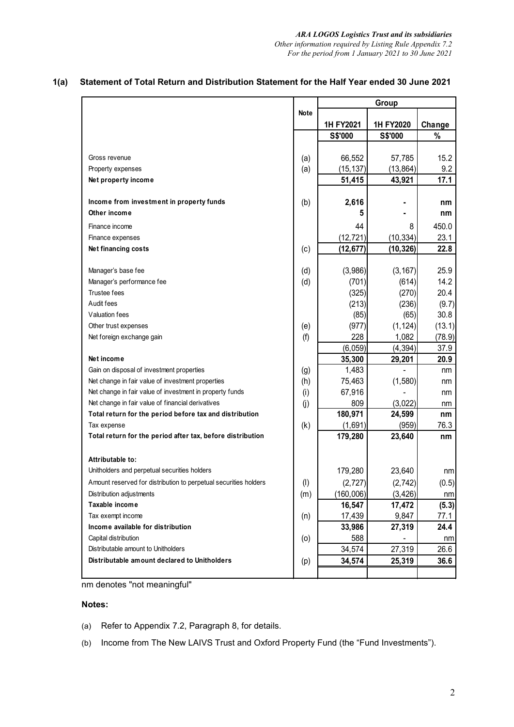|                                                                  |           | Group                  |           |        |
|------------------------------------------------------------------|-----------|------------------------|-----------|--------|
|                                                                  | Note      | 1H FY2020<br>1H FY2021 |           | Change |
|                                                                  |           | S\$'000                | S\$'000   | $\%$   |
|                                                                  |           |                        |           |        |
| Gross revenue                                                    | (a)       | 66,552                 | 57,785    | 15.2   |
| Property expenses                                                | (a)       | (15, 137)              | (13, 864) | 9.2    |
| Net property income                                              |           | 51,415                 | 43,921    | 17.1   |
| Income from investment in property funds                         | (b)       | 2,616                  |           | nm     |
| Other income                                                     |           | 5                      |           | nm     |
| Finance income                                                   |           | 44                     | 8         | 450.0  |
| Finance expenses                                                 |           | (12, 721)              | (10, 334) | 23.1   |
| Net financing costs                                              | (c)       | (12, 677)              | (10,326)  | 22.8   |
| Manager's base fee                                               | (d)       | (3,986)                | (3, 167)  | 25.9   |
| Manager's performance fee                                        | (d)       | (701)                  | (614)     | 14.2   |
| <b>Trustee fees</b>                                              |           | (325)                  | (270)     | 20.4   |
| Audit fees                                                       |           | (213)                  | (236)     | (9.7)  |
| Valuation fees                                                   |           | (85)                   | (65)      | 30.8   |
| Other trust expenses                                             | (e)       | (977)                  | (1, 124)  | (13.1) |
| Net foreign exchange gain                                        | (f)       | 228                    | 1,082     | (78.9) |
|                                                                  |           | (6,059)                | (4, 394)  | 37.9   |
| Net income                                                       |           | 35,300                 | 29,201    | 20.9   |
| Gain on disposal of investment properties                        | (g)       | 1,483                  |           | nm     |
| Net change in fair value of investment properties                | (h)       | 75,463                 | (1,580)   | nm     |
| Net change in fair value of investment in property funds         | (i)       | 67,916                 |           | nm     |
| Net change in fair value of financial derivatives                | (i)       | 809                    | (3,022)   | nm     |
| Total return for the period before tax and distribution          |           | 180,971                | 24,599    | nm     |
| Tax expense                                                      | (k)       | (1,691)                | (959)     | 76.3   |
| Total return for the period after tax, before distribution       |           | 179,280                | 23,640    | nm     |
| Attributable to:                                                 |           |                        |           |        |
| Unitholders and perpetual securities holders                     |           | 179,280                | 23,640    | nm     |
| Amount reserved for distribution to perpetual securities holders | $($ l $)$ | (2, 727)               | (2, 742)  | (0.5)  |
| Distribution adjustments                                         | (m)       | (160,006)              | (3, 426)  | nm     |
| Taxable income                                                   |           | 16,547                 | 17,472    | (5.3)  |
| Tax exempt income                                                | (n)       | 17,439                 | 9,847     | 77.1   |
| Income available for distribution                                |           | 33,986                 | 27,319    | 24.4   |
| Capital distribution                                             | (0)       | 588                    |           | nm     |
| Distributable amount to Unitholders                              |           | 34,574                 | 27,319    | 26.6   |
| Distributable amount declared to Unitholders                     | (p)       | 34,574                 | 25,319    | 36.6   |

# **1(a) Statement of Total Return and Distribution Statement for the Half Year ended 30 June 2021**

nm denotes "not meaningful"

## **Notes:**

- (a) Refer to Appendix 7.2, Paragraph 8, for details.
- (b) Income from The New LAIVS Trust and Oxford Property Fund (the "Fund Investments").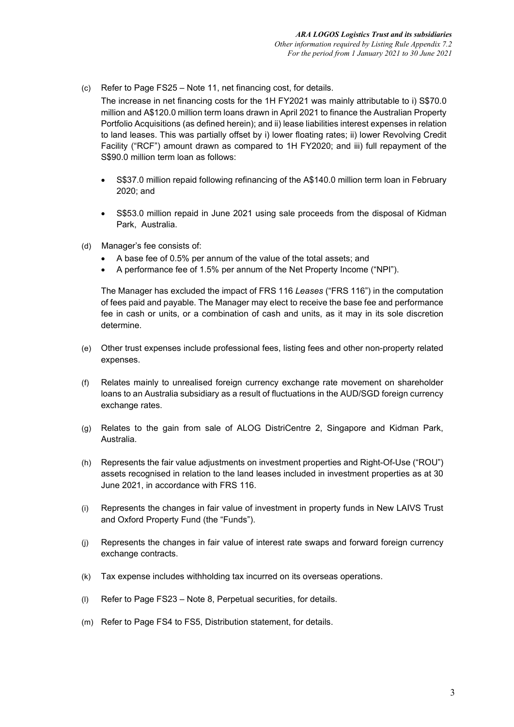(c) Refer to Page FS25 – Note 11, net financing cost, for details.

The increase in net financing costs for the 1H FY2021 was mainly attributable to i) S\$70.0 million and A\$120.0 million term loans drawn in April 2021 to finance the Australian Property Portfolio Acquisitions (as defined herein); and ii) lease liabilities interest expenses in relation to land leases. This was partially offset by i) lower floating rates; ii) lower Revolving Credit Facility ("RCF") amount drawn as compared to 1H FY2020; and iii) full repayment of the S\$90.0 million term loan as follows:

- S\$37.0 million repaid following refinancing of the A\$140.0 million term loan in February 2020; and
- S\$53.0 million repaid in June 2021 using sale proceeds from the disposal of Kidman Park, Australia.
- (d) Manager's fee consists of:
	- A base fee of 0.5% per annum of the value of the total assets; and
	- A performance fee of 1.5% per annum of the Net Property Income ("NPI").

The Manager has excluded the impact of FRS 116 *Leases* ("FRS 116") in the computation of fees paid and payable. The Manager may elect to receive the base fee and performance fee in cash or units, or a combination of cash and units, as it may in its sole discretion determine.

- (e) Other trust expenses include professional fees, listing fees and other non-property related expenses.
- (f) Relates mainly to unrealised foreign currency exchange rate movement on shareholder loans to an Australia subsidiary as a result of fluctuations in the AUD/SGD foreign currency exchange rates.
- (g) Relates to the gain from sale of ALOG DistriCentre 2, Singapore and Kidman Park, Australia.
- (h) Represents the fair value adjustments on investment properties and Right-Of-Use ("ROU") assets recognised in relation to the land leases included in investment properties as at 30 June 2021, in accordance with FRS 116.
- (i) Represents the changes in fair value of investment in property funds in New LAIVS Trust and Oxford Property Fund (the "Funds").
- (j) Represents the changes in fair value of interest rate swaps and forward foreign currency exchange contracts.
- (k) Tax expense includes withholding tax incurred on its overseas operations.
- (l) Refer to Page FS23 Note 8, Perpetual securities, for details.
- (m) Refer to Page FS4 to FS5, Distribution statement, for details.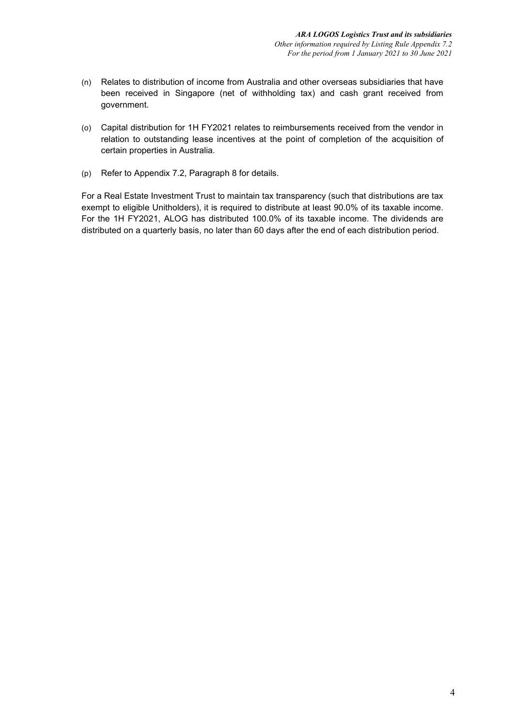- (n) Relates to distribution of income from Australia and other overseas subsidiaries that have been received in Singapore (net of withholding tax) and cash grant received from government.
- (o) Capital distribution for 1H FY2021 relates to reimbursements received from the vendor in relation to outstanding lease incentives at the point of completion of the acquisition of certain properties in Australia.
- (p) Refer to Appendix 7.2, Paragraph 8 for details.

For a Real Estate Investment Trust to maintain tax transparency (such that distributions are tax exempt to eligible Unitholders), it is required to distribute at least 90.0% of its taxable income. For the 1H FY2021, ALOG has distributed 100.0% of its taxable income. The dividends are distributed on a quarterly basis, no later than 60 days after the end of each distribution period.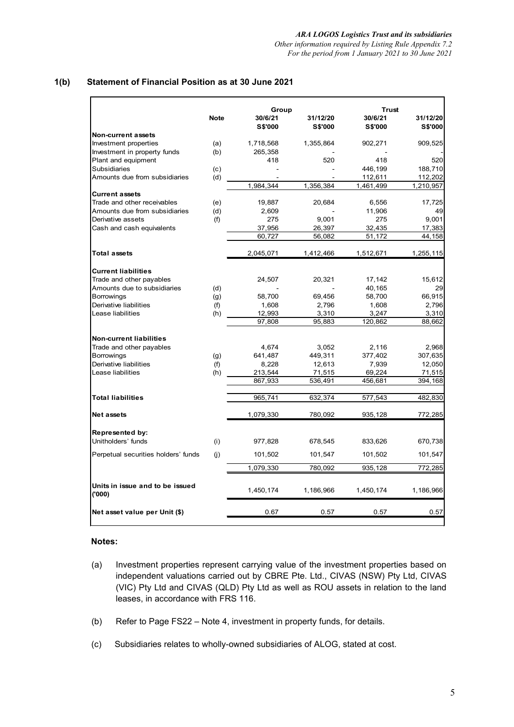*Other information required by Listing Rule Appendix 7.2 For the period from 1 January 2021 to 30 June 2021*

# **1(b) Statement of Financial Position as at 30 June 2021**

|                                             |             | Group            |                  | Trust           |                  |
|---------------------------------------------|-------------|------------------|------------------|-----------------|------------------|
|                                             | <b>Note</b> | 30/6/21          | 31/12/20         | 30/6/21         | 31/12/20         |
|                                             |             | <b>S\$'000</b>   | <b>S\$'000</b>   | <b>S\$'000</b>  | <b>S\$'000</b>   |
| <b>Non-current assets</b>                   |             |                  |                  |                 |                  |
| Investment properties                       | (a)         | 1,718,568        | 1,355,864        | 902,271         | 909,525          |
| Investment in property funds                | (b)         | 265,358          |                  |                 |                  |
| Plant and equipment                         |             | 418              | 520              | 418             | 520              |
| <b>Subsidiaries</b>                         | (c)         |                  |                  | 446,199         | 188,710          |
| Amounts due from subsidiaries               | (d)         |                  |                  | 112,611         | 112,202          |
|                                             |             | 1,984,344        | 1,356,384        | 1,461,499       | 1,210,957        |
| <b>Current assets</b>                       |             |                  |                  |                 |                  |
| Trade and other receivables                 | (e)         | 19,887           | 20,684           | 6,556           | 17,725           |
| Amounts due from subsidiaries               | (d)         | 2,609            |                  | 11,906          | 49               |
| Derivative assets                           | (f)         | 275              | 9,001            | 275             | 9,001            |
| Cash and cash equivalents                   |             | 37,956           | 26,397           | 32,435          | 17,383           |
|                                             |             | 60,727           | 56,082           | 51,172          | 44,158           |
| <b>Total assets</b>                         |             | 2,045,071        | 1,412,466        | 1,512,671       | 1,255,115        |
|                                             |             |                  |                  |                 |                  |
| <b>Current liabilities</b>                  |             |                  |                  |                 |                  |
| Trade and other payables                    |             | 24,507           | 20,321           | 17,142          | 15,612           |
| Amounts due to subsidiaries                 | (d)         |                  |                  | 40,165          | 29               |
| <b>Borrowings</b>                           | (g)         | 58,700           | 69,456           | 58,700          | 66,915           |
| Derivative liabilities                      | (f)         | 1,608            | 2,796            | 1,608           | 2,796            |
| Lease liabilities                           | (h)         | 12,993           | 3,310            | 3,247           | 3,310            |
|                                             |             | 97,808           | 95,883           | 120,862         | 88,662           |
|                                             |             |                  |                  |                 |                  |
| <b>Non-current liabilities</b>              |             | 4,674            | 3,052            | 2,116           | 2,968            |
| Trade and other payables                    |             |                  |                  |                 |                  |
| <b>Borrowings</b>                           | (g)         | 641,487          | 449,311          | 377,402         | 307,635          |
| Derivative liabilities<br>Lease liabilities | (f)<br>(h)  | 8,228<br>213,544 | 12,613<br>71,515 | 7,939<br>69,224 | 12,050<br>71,515 |
|                                             |             | 867,933          | 536,491          | 456,681         | 394,168          |
|                                             |             |                  |                  |                 |                  |
| <b>Total liabilities</b>                    |             | 965,741          | 632,374          | 577,543         | 482,830          |
|                                             |             |                  |                  |                 |                  |
| Net assets                                  |             | 1,079,330        | 780,092          | 935,128         | 772,285          |
| Represented by:                             |             |                  |                  |                 |                  |
| Unitholders' funds                          | (i)         | 977,828          | 678,545          | 833,626         | 670,738          |
|                                             |             |                  |                  |                 |                  |
| Perpetual securities holders' funds         | (i)         | 101,502          | 101,547          | 101,502         | 101,547          |
|                                             |             | 1,079,330        | 780,092          | 935,128         | 772,285          |
|                                             |             |                  |                  |                 |                  |
| Units in issue and to be issued<br>(000)    |             | 1,450,174        | 1,186,966        | 1,450,174       | 1,186,966        |
|                                             |             |                  |                  |                 |                  |
| Net asset value per Unit (\$)               |             | 0.67             | 0.57             | 0.57            | 0.57             |

### **Notes:**

- (a) Investment properties represent carrying value of the investment properties based on independent valuations carried out by CBRE Pte. Ltd., CIVAS (NSW) Pty Ltd, CIVAS (VIC) Pty Ltd and CIVAS (QLD) Pty Ltd as well as ROU assets in relation to the land leases, in accordance with FRS 116.
- (b) Refer to Page FS22 Note 4, investment in property funds, for details.
- (c) Subsidiaries relates to wholly-owned subsidiaries of ALOG, stated at cost.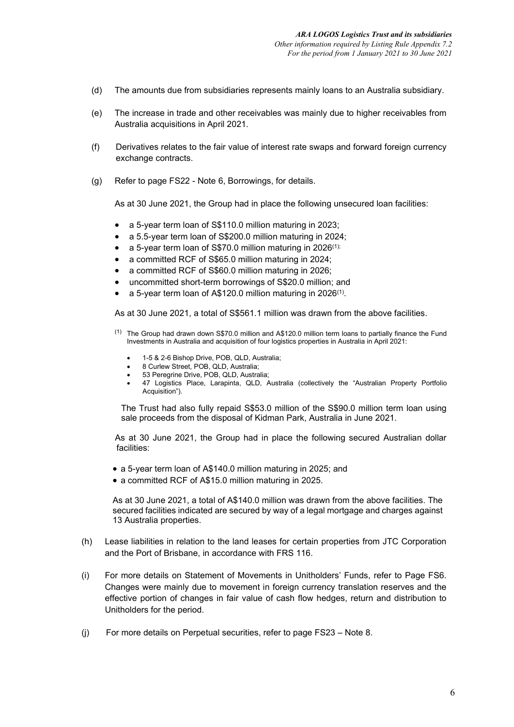- (d) The amounts due from subsidiaries represents mainly loans to an Australia subsidiary.
- (e) The increase in trade and other receivables was mainly due to higher receivables from Australia acquisitions in April 2021.
- (f) Derivatives relates to the fair value of interest rate swaps and forward foreign currency exchange contracts.
- (g) Refer to page FS22 Note 6, Borrowings, for details.

As at 30 June 2021, the Group had in place the following unsecured loan facilities:

- a 5-year term loan of S\$110.0 million maturing in 2023;
- a 5.5-year term loan of S\$200.0 million maturing in 2024;
- a 5-year term loan of S\$70.0 million maturing in 2026(1);
- a committed RCF of S\$65.0 million maturing in 2024;
- a committed RCF of S\$60.0 million maturing in 2026;
- uncommitted short-term borrowings of S\$20.0 million; and
- a 5-year term loan of A\$120.0 million maturing in 2026(1).

As at 30 June 2021, a total of S\$561.1 million was drawn from the above facilities.

- $(1)$  The Group had drawn down S\$70.0 million and A\$120.0 million term loans to partially finance the Fund Investments in Australia and acquisition of four logistics properties in Australia in April 2021:
	- 1-5 & 2-6 Bishop Drive, POB, QLD, Australia;
	- 8 Curlew Street, POB, QLD, Australia;
	- 53 Peregrine Drive, POB, QLD, Australia;
	- 47 Logistics Place, Larapinta, QLD, Australia (collectively the "Australian Property Portfolio Acquisition").

The Trust had also fully repaid S\$53.0 million of the S\$90.0 million term loan using sale proceeds from the disposal of Kidman Park, Australia in June 2021.

As at 30 June 2021, the Group had in place the following secured Australian dollar facilities:

- a 5-year term loan of A\$140.0 million maturing in 2025; and
- a committed RCF of A\$15.0 million maturing in 2025.

As at 30 June 2021, a total of A\$140.0 million was drawn from the above facilities. The secured facilities indicated are secured by way of a legal mortgage and charges against 13 Australia properties.

- (h) Lease liabilities in relation to the land leases for certain properties from JTC Corporation and the Port of Brisbane, in accordance with FRS 116.
- (i) For more details on Statement of Movements in Unitholders' Funds, refer to Page FS6. Changes were mainly due to movement in foreign currency translation reserves and the effective portion of changes in fair value of cash flow hedges, return and distribution to Unitholders for the period.
- (j) For more details on Perpetual securities, refer to page FS23 Note 8.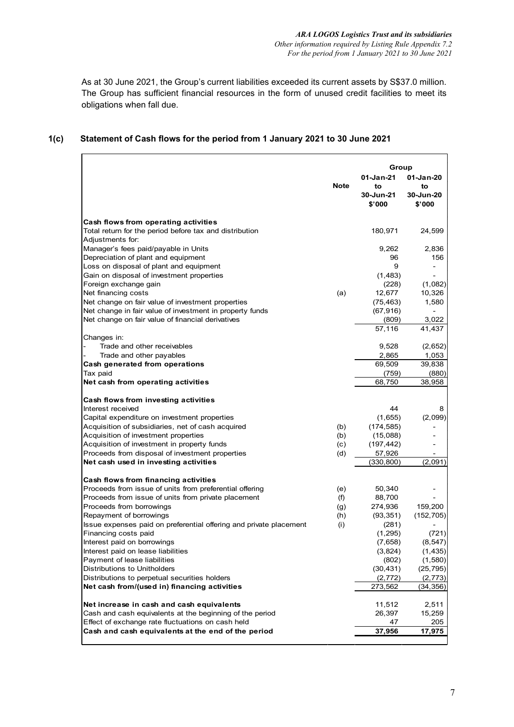As at 30 June 2021, the Group's current liabilities exceeded its current assets by S\$37.0 million. The Group has sufficient financial resources in the form of unused credit facilities to meet its obligations when fall due.

#### **01-Jan-21 01-Jan-20 to to 30-Jun-21 30-Jun-20 \$'000 \$'000 Cash flows from operating activities** Total return for the period before tax and distribution 180,971 24,599 Adjustments for: Manager's fees paid/payable in Units 9,262 2,836 Depreciation of plant and equipment and the state of plant and equipment and state of plant and plant and plan<br>
Depreciation of plant and equipment and state of plant and plant and plant and plant and plant and plant and p Loss on disposal of plant and equipment Gain on disposal of investment properties (1,483) -<br>Foreign exchange gain (228) (1.082) Foreign exchange gain (1,082) (1,082) (1,082) (1,082)<br>Net financing costs (a) (228) (1,082) Net financing costs 10,326<br>Net change on fair value of investment properties (75,463) 1,580 Net change on fair value of investment properties (75,463)<br>Net change in fair value of investment in property funds (67,916) Net change in fair value of investment in property funds (67,916) - Net change on fair value of financial derivatives (809) 3,022 (809) 3,022 (809) 57,116 41,437 Changes in: Trade and other receivables and other payables (2,652) and  $(2,652)$ <br>
Trade and other payables (3,965 and 2,865 and 2,865 and 2,865 and 2,865 and 2,953 and 2,865 and 2,953 and 2,953 and 2,953 and 2,953 and 2,953 and 2,953 Trade and other payables<br> **h** generated from operations <br>
2,865 1,053<br>
2,865 1,053 **Cash generated from operations** 69,509 39,838 Tax paid (759) (880) **Net cash from operating activities**  68,750 38,958 **Cash flows from investing activities** Interest received 8 and 2008 and 2008 and 2008 and 2008 and 2008 and 2008 and 2008 and 2008 and 2008 and 2008 and 2008 and 2008 and 2008 and 2008 and 2008 and 2008 and 2008 and 2008 and 2008 and 2008 and 2008 and 2008 and Capital expenditure on investment properties (1,655) (2,099) Acquisition of subsidiaries, net of cash acquired (b) (174,585) Acquisition of investment properties (b) (15,088) - Acquisition of investment in property funds (c) (c) Proceeds from disposal of investment properties (d) 57,926 **Net cash used in investing activities** (330,800) (2,091) **Cash flows from financing activities** Proceeds from issue of units from preferential offering (e) 50,340 -<br>Proceeds from issue of units from private placement (f) 88.700 -Proceeds from issue of units from private placement (f) 88,700 -<br>Proceeds from borrowings (g) 274,936 159,200 Proceeds from borrowings (g) 274,936 159,200<br>Repayment of borrowings (h) (93,351) (152,705) Repayment of borrowings and the control of the control of the control of the control of the control of the control of the control of the control of the control of the control of the control of the control of the control of Issue expenses paid on preferential offering and private placement (i) (281) -<br>Financing costs paid (1,295) (721) Financing costs paid Interest paid on borrowings (8,547) (8,547) (8,547) (8,547) (8,547) (1,435)<br>Interest paid on lease liabilities (1,435) (1,435) Interest paid on lease liabilities (3,824) Payment of lease liabilities (802) (1,580) **Group Note**

Distributions to Unitholders (30,431) (25,795) Distributions to perpetual securities holders (2,772) (2,773) (2,773) **Net cash from/(used in) financing activities** 273,562 (34,356)

**Net increase in cash and cash equivalents 11,512** 2,511<br>Cash and cash equivalents at the beginning of the period **1992** 26,397 15,259

Effect of exchange rate fluctuations on cash held 47 205 **Cash and cash equivalents at the end of the period 37,956 17,975**

Cash and cash equivalents at the beginning of the period

# **1(c) Statement of Cash flows for the period from 1 January 2021 to 30 June 2021**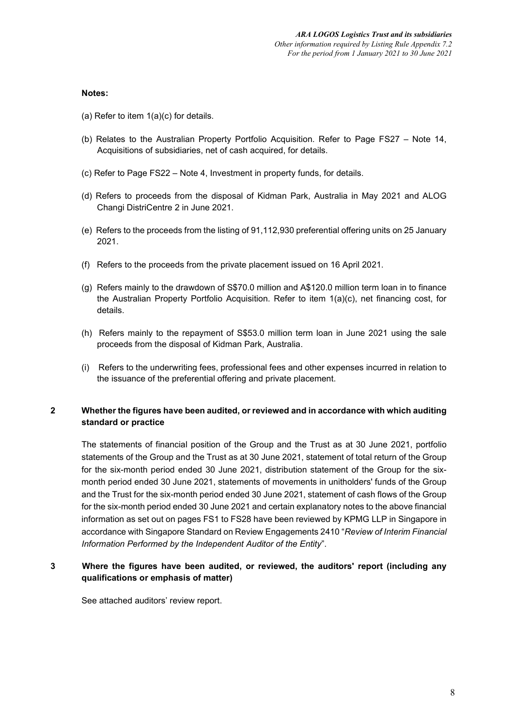## **Notes:**

- (a) Refer to item  $1(a)(c)$  for details.
- (b) Relates to the Australian Property Portfolio Acquisition. Refer to Page FS27 Note 14, Acquisitions of subsidiaries, net of cash acquired, for details.
- (c) Refer to Page FS22 Note 4, Investment in property funds, for details.
- (d) Refers to proceeds from the disposal of Kidman Park, Australia in May 2021 and ALOG Changi DistriCentre 2 in June 2021.
- (e) Refers to the proceeds from the listing of 91,112,930 preferential offering units on 25 January 2021.
- (f) Refers to the proceeds from the private placement issued on 16 April 2021.
- (g) Refers mainly to the drawdown of S\$70.0 million and A\$120.0 million term loan in to finance the Australian Property Portfolio Acquisition. Refer to item 1(a)(c), net financing cost, for details.
- (h) Refers mainly to the repayment of S\$53.0 million term loan in June 2021 using the sale proceeds from the disposal of Kidman Park, Australia.
- (i) Refers to the underwriting fees, professional fees and other expenses incurred in relation to the issuance of the preferential offering and private placement.

# **2 Whether the figures have been audited, or reviewed and in accordance with which auditing standard or practice**

The statements of financial position of the Group and the Trust as at 30 June 2021, portfolio statements of the Group and the Trust as at 30 June 2021, statement of total return of the Group for the six-month period ended 30 June 2021, distribution statement of the Group for the sixmonth period ended 30 June 2021, statements of movements in unitholders' funds of the Group and the Trust for the six-month period ended 30 June 2021, statement of cash flows of the Group for the six-month period ended 30 June 2021 and certain explanatory notes to the above financial information as set out on pages FS1 to FS28 have been reviewed by KPMG LLP in Singapore in accordance with Singapore Standard on Review Engagements 2410 "*Review of Interim Financial Information Performed by the Independent Auditor of the Entity*".

# **3 Where the figures have been audited, or reviewed, the auditors' report (including any qualifications or emphasis of matter)**

See attached auditors' review report.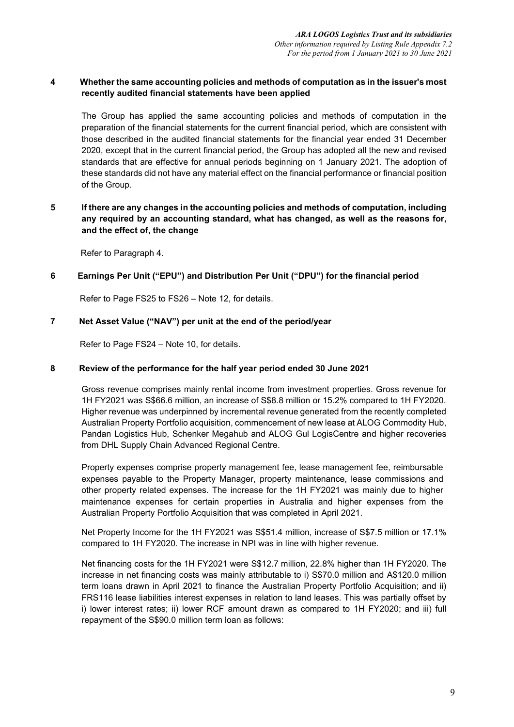# **4 Whether the same accounting policies and methods of computation as in the issuer's most recently audited financial statements have been applied**

The Group has applied the same accounting policies and methods of computation in the preparation of the financial statements for the current financial period, which are consistent with those described in the audited financial statements for the financial year ended 31 December 2020, except that in the current financial period, the Group has adopted all the new and revised standards that are effective for annual periods beginning on 1 January 2021. The adoption of these standards did not have any material effect on the financial performance or financial position of the Group.

# **5 If there are any changes in the accounting policies and methods of computation, including any required by an accounting standard, what has changed, as well as the reasons for, and the effect of, the change**

Refer to Paragraph 4.

## **6 Earnings Per Unit ("EPU") and Distribution Per Unit ("DPU") for the financial period**

Refer to Page FS25 to FS26 – Note 12, for details.

## **7 Net Asset Value ("NAV") per unit at the end of the period/year**

Refer to Page FS24 – Note 10, for details.

### **8 Review of the performance for the half year period ended 30 June 2021**

Gross revenue comprises mainly rental income from investment properties. Gross revenue for 1H FY2021 was S\$66.6 million, an increase of S\$8.8 million or 15.2% compared to 1H FY2020. Higher revenue was underpinned by incremental revenue generated from the recently completed Australian Property Portfolio acquisition, commencement of new lease at ALOG Commodity Hub, Pandan Logistics Hub, Schenker Megahub and ALOG Gul LogisCentre and higher recoveries from DHL Supply Chain Advanced Regional Centre.

Property expenses comprise property management fee, lease management fee, reimbursable expenses payable to the Property Manager, property maintenance, lease commissions and other property related expenses. The increase for the 1H FY2021 was mainly due to higher maintenance expenses for certain properties in Australia and higher expenses from the Australian Property Portfolio Acquisition that was completed in April 2021.

Net Property Income for the 1H FY2021 was S\$51.4 million, increase of S\$7.5 million or 17.1% compared to 1H FY2020. The increase in NPI was in line with higher revenue.

Net financing costs for the 1H FY2021 were S\$12.7 million, 22.8% higher than 1H FY2020. The increase in net financing costs was mainly attributable to i) S\$70.0 million and A\$120.0 million term loans drawn in April 2021 to finance the Australian Property Portfolio Acquisition; and ii) FRS116 lease liabilities interest expenses in relation to land leases. This was partially offset by i) lower interest rates; ii) lower RCF amount drawn as compared to 1H FY2020; and iii) full repayment of the S\$90.0 million term loan as follows: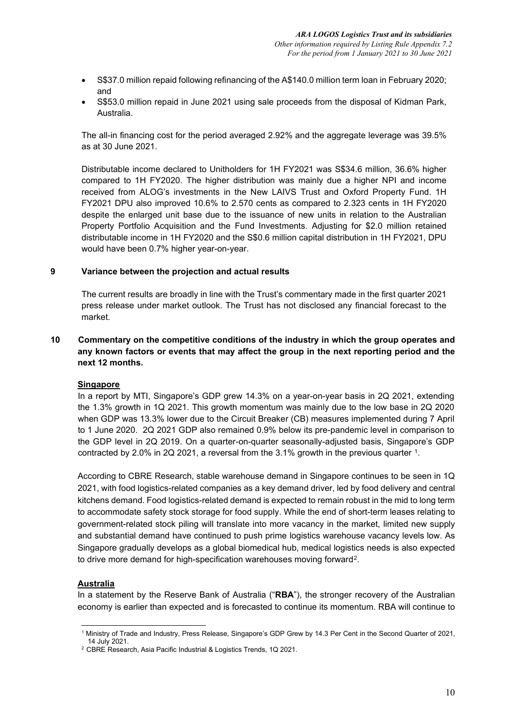- S\$37.0 million repaid following refinancing of the A\$140.0 million term loan in February 2020; and
- S\$53.0 million repaid in June 2021 using sale proceeds from the disposal of Kidman Park, Australia.

The all-in financing cost for the period averaged 2.92% and the aggregate leverage was 39.5% as at 30 June 2021.

Distributable income declared to Unitholders for 1H FY2021 was S\$34.6 million, 36.6% higher compared to 1H FY2020. The higher distribution was mainly due a higher NPI and income received from ALOG's investments in the New LAIVS Trust and Oxford Property Fund. 1H FY2021 DPU also improved 10.6% to 2.570 cents as compared to 2.323 cents in 1H FY2020 despite the enlarged unit base due to the issuance of new units in relation to the Australian Property Portfolio Acquisition and the Fund Investments. Adjusting for \$2.0 million retained distributable income in 1H FY2020 and the S\$0.6 million capital distribution in 1H FY2021, DPU would have been 0.7% higher year-on-year.

# **9 Variance between the projection and actual results**

The current results are broadly in line with the Trust's commentary made in the first quarter 2021 press release under market outlook. The Trust has not disclosed any financial forecast to the market.

# **10 Commentary on the competitive conditions of the industry in which the group operates and any known factors or events that may affect the group in the next reporting period and the next 12 months.**

### **Singapore**

In a report by MTI, Singapore's GDP grew 14.3% on a year-on-year basis in 2Q 2021, extending the 1.3% growth in 1Q 2021. This growth momentum was mainly due to the low base in 2Q 2020 when GDP was 13.3% lower due to the Circuit Breaker (CB) measures implemented during 7 April to 1 June 2020. 2Q 2021 GDP also remained 0.9% below its pre-pandemic level in comparison to the GDP level in 2Q 2019. On a quarter-on-quarter seasonally-adjusted basis, Singapore's GDP contracted by 2.0% in 2Q 2021, a reversal from the 3.1% growth in the previous quarter [1.](#page-38-0)

According to CBRE Research, stable warehouse demand in Singapore continues to be seen in 1Q 2021, with food logistics-related companies as a key demand driver, led by food delivery and central kitchens demand. Food logistics-related demand is expected to remain robust in the mid to long term to accommodate safety stock storage for food supply. While the end of short-term leases relating to government-related stock piling will translate into more vacancy in the market, limited new supply and substantial demand have continued to push prime logistics warehouse vacancy levels low. As Singapore gradually develops as a global biomedical hub, medical logistics needs is also expected to drive more demand for high-specification warehouses moving forward[2.](#page-38-1)

# **Australia**

In a statement by the Reserve Bank of Australia ("**RBA**"), the stronger recovery of the Australian economy is earlier than expected and is forecasted to continue its momentum. RBA will continue to

<span id="page-38-0"></span><sup>1</sup> Ministry of Trade and Industry, Press Release, Singapore's GDP Grew by 14.3 Per Cent in the Second Quarter of 2021,

<span id="page-38-1"></span><sup>&</sup>lt;sup>2</sup> CBRE Research, Asia Pacific Industrial & Logistics Trends, 1Q 2021.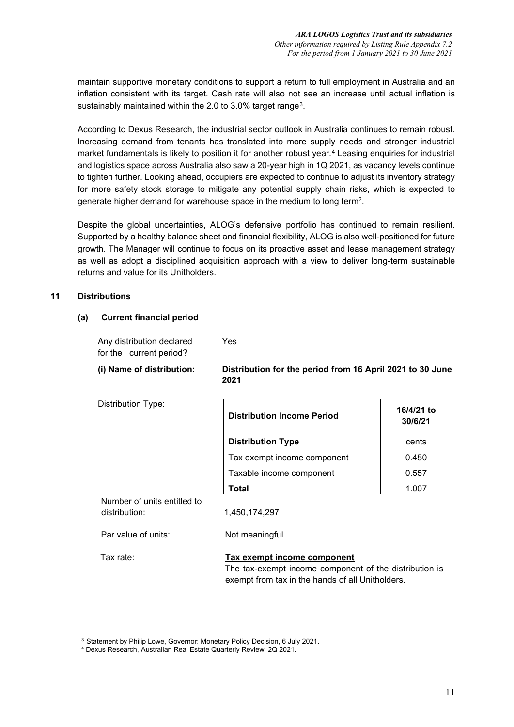maintain supportive monetary conditions to support a return to full employment in Australia and an inflation consistent with its target. Cash rate will also not see an increase until actual inflation is sustainably maintained within the 2.0 to [3.](#page-39-0)0% target range<sup>3</sup>.

According to Dexus Research, the industrial sector outlook in Australia continues to remain robust. Increasing demand from tenants has translated into more supply needs and stronger industrial market fundamentals is likely to position it for another robust year.[4](#page-39-1) Leasing enquiries for industrial and logistics space across Australia also saw a 20-year high in 1Q 2021, as vacancy levels continue to tighten further. Looking ahead, occupiers are expected to continue to adjust its inventory strategy for more safety stock storage to mitigate any potential supply chain risks, which is expected to generate higher demand for warehouse space in the medium to long term2.

Despite the global uncertainties, ALOG's defensive portfolio has continued to remain resilient. Supported by a healthy balance sheet and financial flexibility, ALOG is also well-positioned for future growth. The Manager will continue to focus on its proactive asset and lease management strategy as well as adopt a disciplined acquisition approach with a view to deliver long-term sustainable returns and value for its Unitholders.

# **11 Distributions**

## **(a) Current financial period**

Distribution Type:

Any distribution declared

Yes

**2021**

for the current period?

**(i) Name of distribution: Distribution for the period from 16 April 2021 to 30 June** 

| <b>Distribution Income Period</b> | 16/4/21 to<br>30/6/21 |
|-----------------------------------|-----------------------|
| <b>Distribution Type</b>          | cents                 |
| Tax exempt income component       | 0.450                 |
| Taxable income component          | 0.557                 |
| Total                             |                       |

Number of units entitled to distribution: 1,450,174,297

Par value of units: Not meaningful

## Tax rate: **Tax exempt income component**

 The tax-exempt income component of the distribution is exempt from tax in the hands of all Unitholders.

<span id="page-39-0"></span><sup>3</sup> Statement by Philip Lowe, Governor: Monetary Policy Decision, 6 July 2021.

<span id="page-39-1"></span><sup>4</sup> Dexus Research, Australian Real Estate Quarterly Review, 2Q 2021.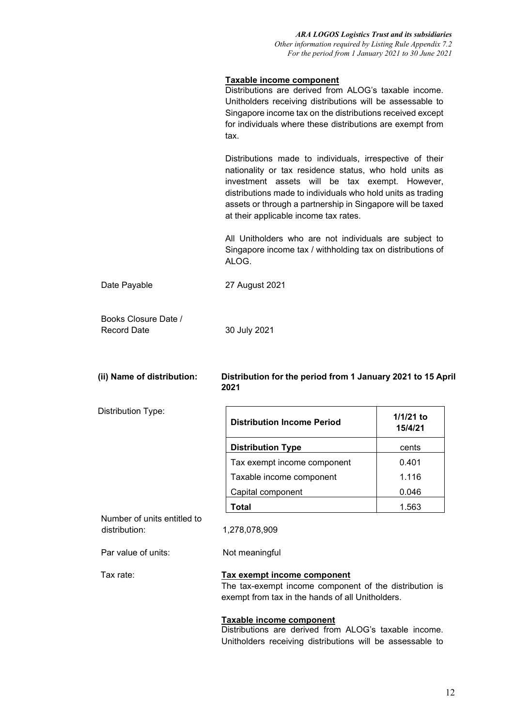## **Taxable income component**

Distributions are derived from ALOG's taxable income. Unitholders receiving distributions will be assessable to Singapore income tax on the distributions received except for individuals where these distributions are exempt from tax.

Distributions made to individuals, irrespective of their nationality or tax residence status, who hold units as investment assets will be tax exempt. However, distributions made to individuals who hold units as trading assets or through a partnership in Singapore will be taxed at their applicable income tax rates.

All Unitholders who are not individuals are subject to Singapore income tax / withholding tax on distributions of ALOG.

Date Payable 27 August 2021

| Books Closure Date / |              |
|----------------------|--------------|
| Record Date          | 30 July 2021 |

## **(ii) Name of distribution: Distribution for the period from 1 January 2021 to 15 April 2021**

Distribution Type:

| <b>Distribution Income Period</b> | 1/1/21 to<br>15/4/21 |
|-----------------------------------|----------------------|
| <b>Distribution Type</b>          | cents                |
| Tax exempt income component       | 0.401                |
| Taxable income component          | 1.116                |
| Capital component                 | 0.046                |
| Total                             | 1.563                |

Number of units entitled to distribution: 1,278,078,909

Par value of units: Not meaningful

# Tax rate: **Tax exempt income component**

The tax-exempt income component of the distribution is exempt from tax in the hands of all Unitholders.

### **Taxable income component**

Distributions are derived from ALOG's taxable income. Unitholders receiving distributions will be assessable to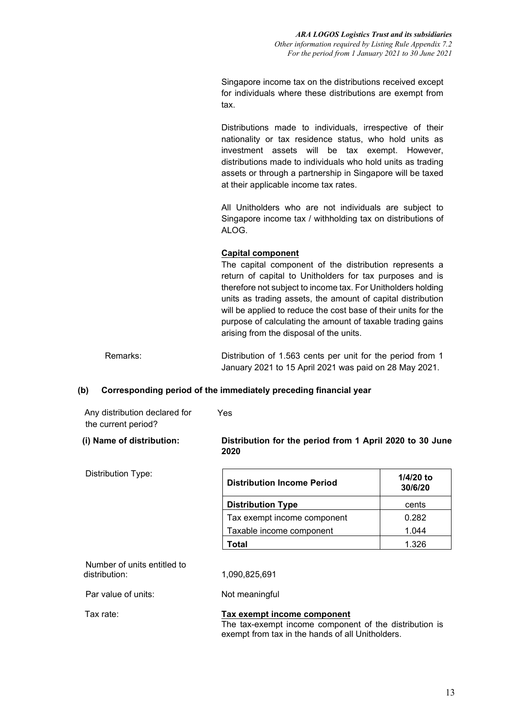Singapore income tax on the distributions received except for individuals where these distributions are exempt from tax.

Distributions made to individuals, irrespective of their nationality or tax residence status, who hold units as investment assets will be tax exempt. However, distributions made to individuals who hold units as trading assets or through a partnership in Singapore will be taxed at their applicable income tax rates.

All Unitholders who are not individuals are subject to Singapore income tax / withholding tax on distributions of ALOG.

# **Capital component**

The capital component of the distribution represents a return of capital to Unitholders for tax purposes and is therefore not subject to income tax. For Unitholders holding units as trading assets, the amount of capital distribution will be applied to reduce the cost base of their units for the purpose of calculating the amount of taxable trading gains arising from the disposal of the units.

Remarks: Distribution of 1.563 cents per unit for the period from 1 January 2021 to 15 April 2021 was paid on 28 May 2021.

### **(b) Corresponding period of the immediately preceding financial year**

| Any distribution declared for<br>the current period? | Yes                                                              |                        |
|------------------------------------------------------|------------------------------------------------------------------|------------------------|
| (i) Name of distribution:                            | Distribution for the period from 1 April 2020 to 30 June<br>2020 |                        |
| Distribution Type:                                   | <b>Distribution Income Period</b>                                | $1/4/20$ to<br>30/6/20 |
|                                                      | Distribution Type                                                | cents                  |

|                             | JUI UI LU |
|-----------------------------|-----------|
| <b>Distribution Type</b>    | cents     |
| Tax exempt income component | 0.282     |
| Taxable income component    | 1.044     |
| Total                       | 1.326     |

Number of units entitled to<br>distribution:

distribution: 1,090,825,691

Par value of units: Not meaningful

Tax rate: **Tax exempt income component**

The tax-exempt income component of the distribution is exempt from tax in the hands of all Unitholders.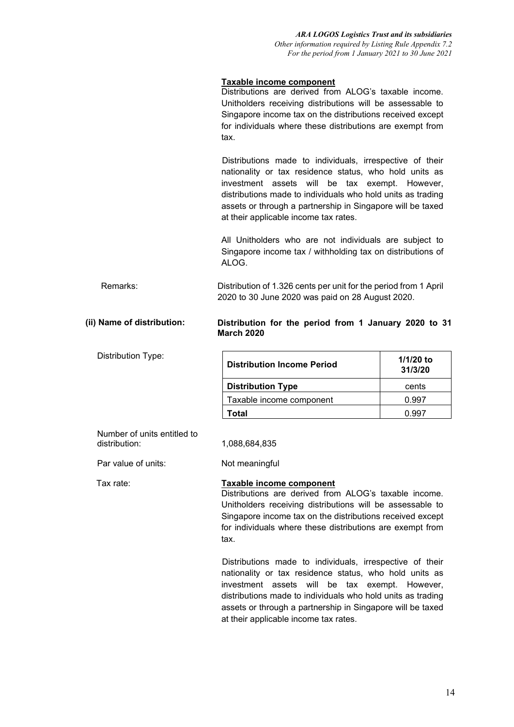# **Taxable income component**

Distributions are derived from ALOG's taxable income. Unitholders receiving distributions will be assessable to Singapore income tax on the distributions received except for individuals where these distributions are exempt from tax.

 Distributions made to individuals, irrespective of their nationality or tax residence status, who hold units as investment assets will be tax exempt. However, distributions made to individuals who hold units as trading assets or through a partnership in Singapore will be taxed at their applicable income tax rates.

All Unitholders who are not individuals are subject to Singapore income tax / withholding tax on distributions of ALOG.

Remarks: Distribution of 1.326 cents per unit for the period from 1 April 2020 to 30 June 2020 was paid on 28 August 2020.

### **(ii) Name of distribution: Distribution for the period from 1 January 2020 to 31 March 2020**

Distribution Type:

| <b>Distribution Income Period</b> | $1/1/20$ to<br>31/3/20 |
|-----------------------------------|------------------------|
| <b>Distribution Type</b>          | cents                  |
| Taxable income component          | 0.997                  |
| Гоtal                             |                        |

Number of units entitled to<br>distribution:

Par value of units: Not meaningful

# distribution: 1,088,684,835

Tax rate: **Taxable income component**

Distributions are derived from ALOG's taxable income. Unitholders receiving distributions will be assessable to Singapore income tax on the distributions received except for individuals where these distributions are exempt from tax.

 Distributions made to individuals, irrespective of their nationality or tax residence status, who hold units as investment assets will be tax exempt. However, distributions made to individuals who hold units as trading assets or through a partnership in Singapore will be taxed at their applicable income tax rates.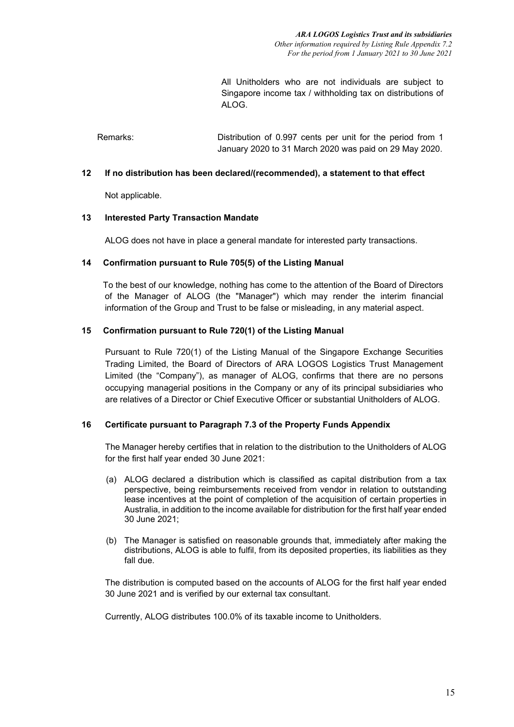All Unitholders who are not individuals are subject to Singapore income tax / withholding tax on distributions of ALOG.

Remarks: Distribution of 0.997 cents per unit for the period from 1 January 2020 to 31 March 2020 was paid on 29 May 2020.

## **12 If no distribution has been declared/(recommended), a statement to that effect**

Not applicable.

### **13 Interested Party Transaction Mandate**

ALOG does not have in place a general mandate for interested party transactions.

## **14 Confirmation pursuant to Rule 705(5) of the Listing Manual**

 To the best of our knowledge, nothing has come to the attention of the Board of Directors of the Manager of ALOG (the "Manager") which may render the interim financial information of the Group and Trust to be false or misleading, in any material aspect.

## **15 Confirmation pursuant to Rule 720(1) of the Listing Manual**

Pursuant to Rule 720(1) of the Listing Manual of the Singapore Exchange Securities Trading Limited, the Board of Directors of ARA LOGOS Logistics Trust Management Limited (the "Company"), as manager of ALOG, confirms that there are no persons occupying managerial positions in the Company or any of its principal subsidiaries who are relatives of a Director or Chief Executive Officer or substantial Unitholders of ALOG.

### **16 Certificate pursuant to Paragraph 7.3 of the Property Funds Appendix**

The Manager hereby certifies that in relation to the distribution to the Unitholders of ALOG for the first half year ended 30 June 2021:

- (a) ALOG declared a distribution which is classified as capital distribution from a tax perspective, being reimbursements received from vendor in relation to outstanding lease incentives at the point of completion of the acquisition of certain properties in Australia, in addition to the income available for distribution for the first half year ended 30 June 2021;
- (b) The Manager is satisfied on reasonable grounds that, immediately after making the distributions, ALOG is able to fulfil, from its deposited properties, its liabilities as they fall due.

The distribution is computed based on the accounts of ALOG for the first half year ended 30 June 2021 and is verified by our external tax consultant.

Currently, ALOG distributes 100.0% of its taxable income to Unitholders.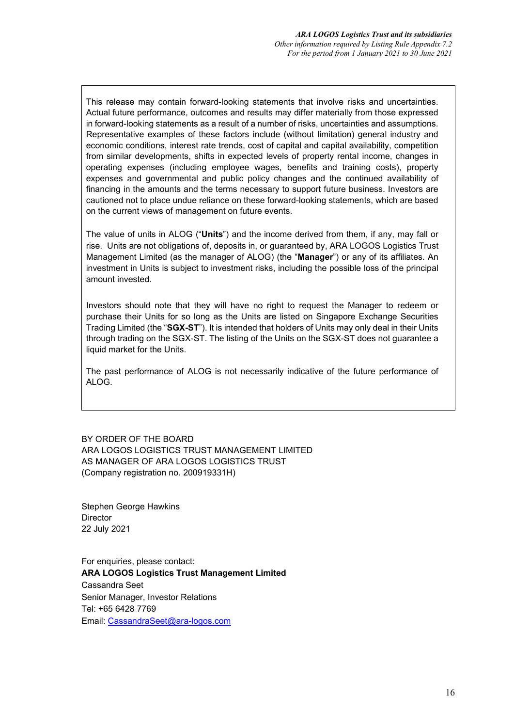This release may contain forward-looking statements that involve risks and uncertainties. Actual future performance, outcomes and results may differ materially from those expressed in forward-looking statements as a result of a number of risks, uncertainties and assumptions. Representative examples of these factors include (without limitation) general industry and economic conditions, interest rate trends, cost of capital and capital availability, competition from similar developments, shifts in expected levels of property rental income, changes in operating expenses (including employee wages, benefits and training costs), property expenses and governmental and public policy changes and the continued availability of financing in the amounts and the terms necessary to support future business. Investors are cautioned not to place undue reliance on these forward-looking statements, which are based on the current views of management on future events.

The value of units in ALOG ("**Units**") and the income derived from them, if any, may fall or rise. Units are not obligations of, deposits in, or guaranteed by, ARA LOGOS Logistics Trust Management Limited (as the manager of ALOG) (the "**Manager**") or any of its affiliates. An investment in Units is subject to investment risks, including the possible loss of the principal amount invested.

Investors should note that they will have no right to request the Manager to redeem or purchase their Units for so long as the Units are listed on Singapore Exchange Securities Trading Limited (the "**SGX-ST**"). It is intended that holders of Units may only deal in their Units through trading on the SGX-ST. The listing of the Units on the SGX-ST does not guarantee a liquid market for the Units.

The past performance of ALOG is not necessarily indicative of the future performance of ALOG.

BY ORDER OF THE BOARD ARA LOGOS LOGISTICS TRUST MANAGEMENT LIMITED AS MANAGER OF ARA LOGOS LOGISTICS TRUST (Company registration no. 200919331H)

Stephen George Hawkins **Director** 22 July 2021

For enquiries, please contact: **ARA LOGOS Logistics Trust Management Limited** Cassandra Seet Senior Manager, Investor Relations Tel: +65 6428 7769 Email: [CassandraSeet@ara-logos.com](mailto:CassandraSeet@ara-logos.com)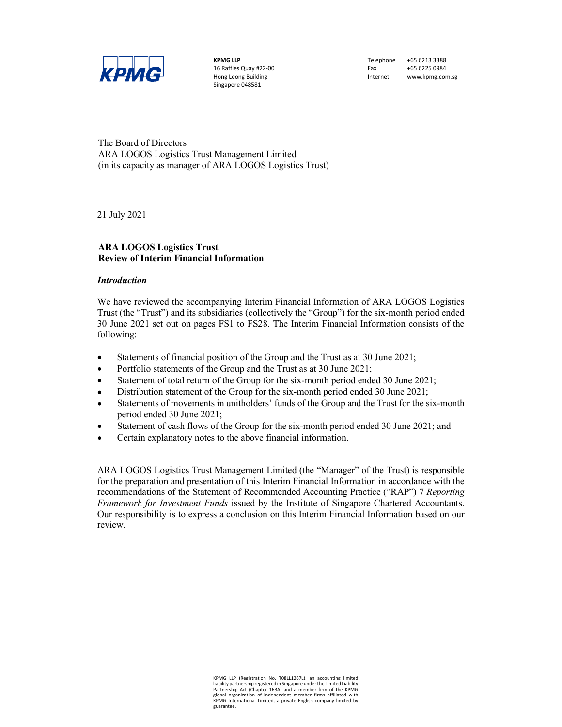

KPMG LLP 16 Raffles Quay #22-00 Hong Leong Building Singapore 048581

Telephone +65 6213 3388 Fax +65 6225 0984 Internet www.kpmg.com.sg

The Board of Directors ARA LOGOS Logistics Trust Management Limited (in its capacity as manager of ARA LOGOS Logistics Trust)

21 July 2021

### ARA LOGOS Logistics Trust Review of Interim Financial Information

#### Introduction

We have reviewed the accompanying Interim Financial Information of ARA LOGOS Logistics Trust (the "Trust") and its subsidiaries (collectively the "Group") for the six-month period ended 30 June 2021 set out on pages FS1 to FS28. The Interim Financial Information consists of the following:

- Statements of financial position of the Group and the Trust as at 30 June 2021;  $\bullet$
- $\bullet$ Portfolio statements of the Group and the Trust as at 30 June 2021;
- $\bullet$ Statement of total return of the Group for the six-month period ended 30 June 2021;
- $\bullet$ Distribution statement of the Group for the six-month period ended 30 June 2021;
- Statements of movements in unitholders' funds of the Group and the Trust for the six-month  $\bullet$ period ended 30 June 2021;
- Statement of cash flows of the Group for the six-month period ended 30 June 2021; and  $\bullet$
- Certain explanatory notes to the above financial information.  $\bullet$

ARA LOGOS Logistics Trust Management Limited (the "Manager" of the Trust) is responsible for the preparation and presentation of this Interim Financial Information in accordance with the recommendations of the Statement of Recommended Accounting Practice ("RAP") 7 Reporting Framework for Investment Funds issued by the Institute of Singapore Chartered Accountants. Our responsibility is to express a conclusion on this Interim Financial Information based on our review.